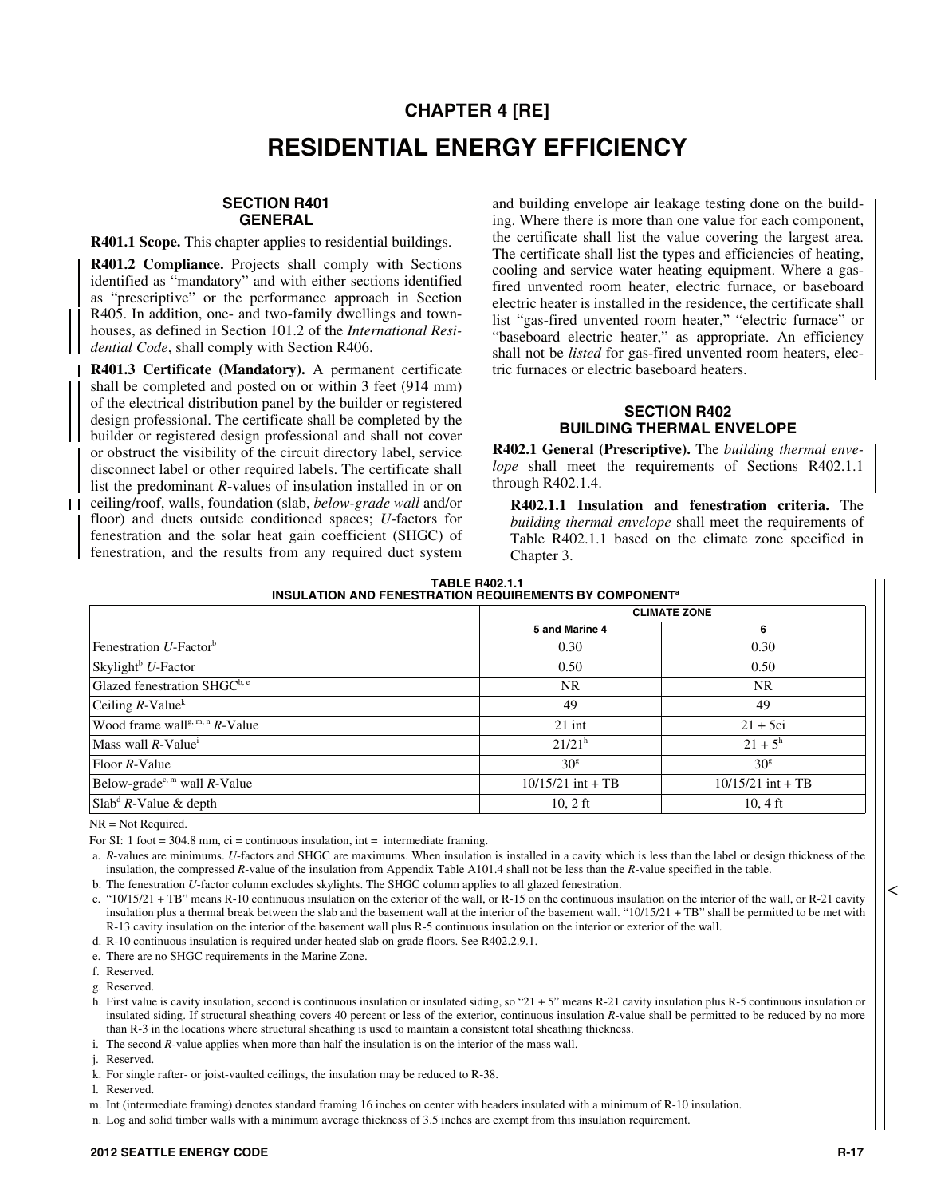# **CHAPTER 4 [RE] RESIDENTIAL ENERGY EFFICIENCY**

### **SECTION R401 GENERAL**

**R401.1 Scope.** This chapter applies to residential buildings.

**R401.2 Compliance.** Projects shall comply with Sections identified as "mandatory" and with either sections identified as "prescriptive" or the performance approach in Section R405. In addition, one- and two-family dwellings and townhouses, as defined in Section 101.2 of the *International Residential Code*, shall comply with Section R406.

**R401.3 Certificate (Mandatory).** A permanent certificate shall be completed and posted on or within 3 feet (914 mm) of the electrical distribution panel by the builder or registered design professional. The certificate shall be completed by the builder or registered design professional and shall not cover or obstruct the visibility of the circuit directory label, service disconnect label or other required labels. The certificate shall list the predominant *R*-values of insulation installed in or on ceiling/roof, walls, foundation (slab, *below-grade wall* and/or

floor) and ducts outside conditioned spaces; *U*-factors for fenestration and the solar heat gain coefficient (SHGC) of fenestration, and the results from any required duct system

and building envelope air leakage testing done on the building. Where there is more than one value for each component, the certificate shall list the value covering the largest area. The certificate shall list the types and efficiencies of heating, cooling and service water heating equipment. Where a gasfired unvented room heater, electric furnace, or baseboard electric heater is installed in the residence, the certificate shall list "gas-fired unvented room heater," "electric furnace" or "baseboard electric heater," as appropriate. An efficiency shall not be *listed* for gas-fired unvented room heaters, electric furnaces or electric baseboard heaters.

## **SECTION R402 BUILDING THERMAL ENVELOPE**

**R402.1 General (Prescriptive).** The *building thermal envelope* shall meet the requirements of Sections R402.1.1 through R402.1.4.

**R402.1.1 Insulation and fenestration criteria.** The *building thermal envelope* shall meet the requirements of Table R402.1.1 based on the climate zone specified in Chapter 3.

| <b>TABLE R402.1.1</b>                                                    |
|--------------------------------------------------------------------------|
| <b>INSULATION AND FENESTRATION REQUIREMENTS BY COMPONENT<sup>®</sup></b> |

|                                               | <b>CLIMATE ZONE</b> |                     |
|-----------------------------------------------|---------------------|---------------------|
|                                               | 5 and Marine 4      | 6                   |
| Fenestration $U$ -Factor <sup>b</sup>         | 0.30                | 0.30                |
| Skylight <sup>b</sup> $U$ -Factor             | 0.50                | 0.50                |
| Glazed fenestration SHGC <sup>b, e</sup>      | <b>NR</b>           | <b>NR</b>           |
| Ceiling $R$ -Value <sup>k</sup>               | 49                  | 49                  |
| Wood frame wall <sup>g, m, n</sup> $R$ -Value | $21$ int            | $21 + 5ci$          |
| Mass wall $R$ -Value <sup>i</sup>             | $21/21^h$           | $21 + 5^h$          |
| $Floor R-Value$                               | 30 <sup>g</sup>     | 30 <sup>g</sup>     |
| Below-grade <sup>c, m</sup> wall $R$ -Value   | $10/15/21$ int + TB | $10/15/21$ int + TB |
| Slab <sup>d</sup> $R$ -Value & depth          | $10, 2$ ft          | $10, 4 \text{ ft}$  |

NR = Not Required.

For SI: 1 foot =  $304.8$  mm, ci = continuous insulation, int = intermediate framing.

 a. *R*-values are minimums. *U*-factors and SHGC are maximums. When insulation is installed in a cavity which is less than the label or design thickness of the insulation, the compressed *R*-value of the insulation from Appendix Table A101.4 shall not be less than the *R*-value specified in the table.

b. The fenestration *U*-factor column excludes skylights. The SHGC column applies to all glazed fenestration.

 c. "10/15/21 + TB" means R-10 continuous insulation on the exterior of the wall, or R-15 on the continuous insulation on the interior of the wall, or R-21 cavity insulation plus a thermal break between the slab and the basement wall at the interior of the basement wall. "10/15/21 + TB" shall be permitted to be met with R-13 cavity insulation on the interior of the basement wall plus R-5 continuous insulation on the interior or exterior of the wall.

d. R-10 continuous insulation is required under heated slab on grade floors. See R402.2.9.1.

e. There are no SHGC requirements in the Marine Zone.

f. Reserved.

g. Reserved.

h. First value is cavity insulation, second is continuous insulation or insulated siding, so "21 + 5" means R-21 cavity insulation plus R-5 continuous insulation or insulated siding. If structural sheathing covers 40 percent or less of the exterior, continuous insulation *R*-value shall be permitted to be reduced by no more than R-3 in the locations where structural sheathing is used to maintain a consistent total sheathing thickness.

i. The second *R*-value applies when more than half the insulation is on the interior of the mass wall.

j. Reserved.

k. For single rafter- or joist-vaulted ceilings, the insulation may be reduced to R-38.

l. Reserved.

m. Int (intermediate framing) denotes standard framing 16 inches on center with headers insulated with a minimum of R-10 insulation.

n. Log and solid timber walls with a minimum average thickness of 3.5 inches are exempt from this insulation requirement.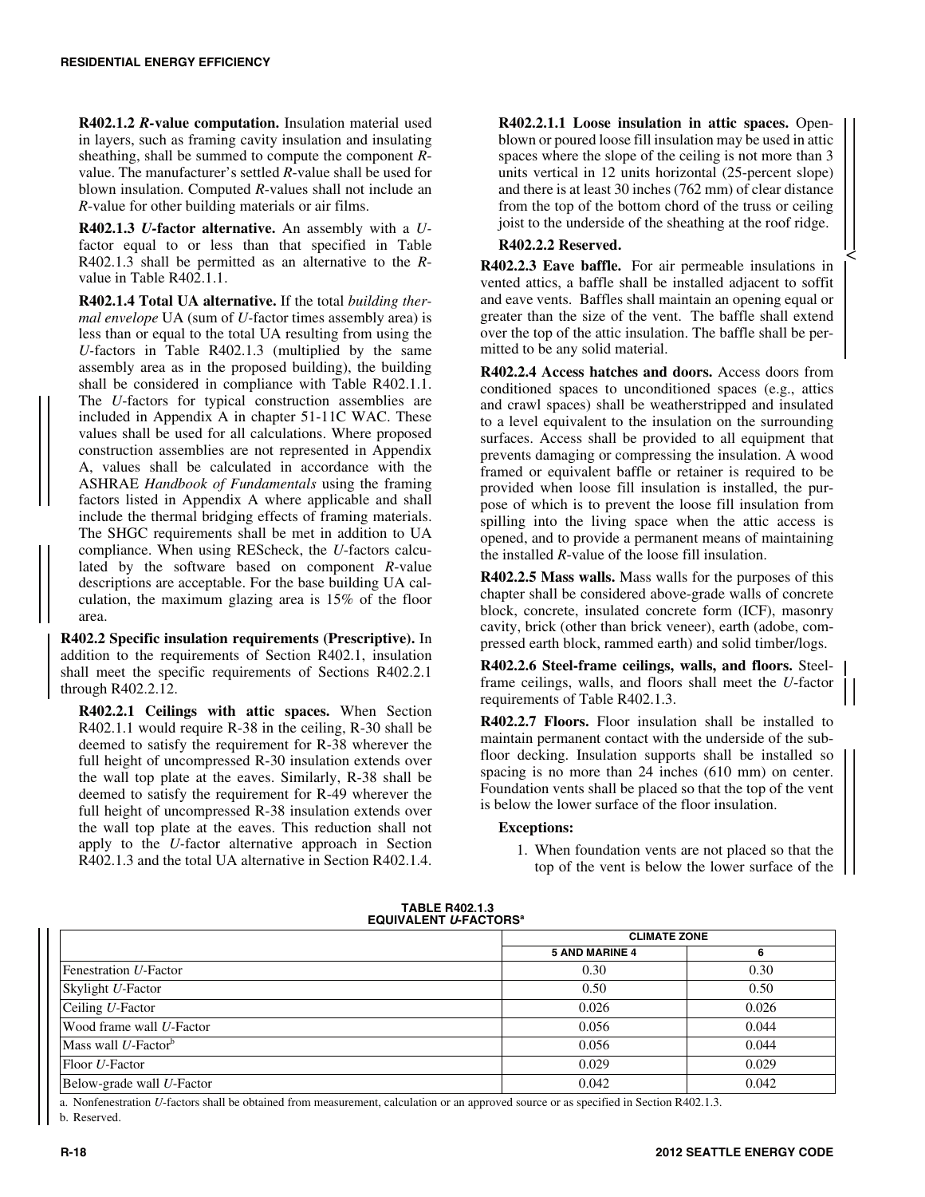**R402.1.2** *R-***value computation.** Insulation material used in layers, such as framing cavity insulation and insulating sheathing, shall be summed to compute the component *R*value. The manufacturer's settled *R*-value shall be used for blown insulation. Computed *R*-values shall not include an *R*-value for other building materials or air films.

**R402.1.3** *U-***factor alternative.** An assembly with a *U*factor equal to or less than that specified in Table R402.1.3 shall be permitted as an alternative to the *R*value in Table R402.1.1.

**R402.1.4 Total UA alternative.** If the total *building thermal envelope* UA (sum of *U-*factor times assembly area) is less than or equal to the total UA resulting from using the *U-*factors in Table R402.1.3 (multiplied by the same assembly area as in the proposed building), the building shall be considered in compliance with Table R402.1.1. The *U*-factors for typical construction assemblies are included in Appendix A in chapter 51-11C WAC. These values shall be used for all calculations. Where proposed construction assemblies are not represented in Appendix A, values shall be calculated in accordance with the ASHRAE *Handbook of Fundamentals* using the framing factors listed in Appendix A where applicable and shall include the thermal bridging effects of framing materials. The SHGC requirements shall be met in addition to UA compliance. When using REScheck, the *U*-factors calculated by the software based on component *R*-value descriptions are acceptable. For the base building UA calculation, the maximum glazing area is 15% of the floor area.

**R402.2 Specific insulation requirements (Prescriptive).** In addition to the requirements of Section R402.1, insulation shall meet the specific requirements of Sections R402.2.1 through R402.2.12.

**R402.2.1 Ceilings with attic spaces.** When Section R402.1.1 would require R-38 in the ceiling, R-30 shall be deemed to satisfy the requirement for R-38 wherever the full height of uncompressed R-30 insulation extends over the wall top plate at the eaves. Similarly, R-38 shall be deemed to satisfy the requirement for R-49 wherever the full height of uncompressed R-38 insulation extends over the wall top plate at the eaves. This reduction shall not apply to the *U-*factor alternative approach in Section R402.1.3 and the total UA alternative in Section R402.1.4.

**R402.2.1.1 Loose insulation in attic spaces.** Openblown or poured loose fill insulation may be used in attic spaces where the slope of the ceiling is not more than 3 units vertical in 12 units horizontal (25-percent slope) and there is at least 30 inches (762 mm) of clear distance from the top of the bottom chord of the truss or ceiling joist to the underside of the sheathing at the roof ridge.

 $\,<$ 

## **R402.2.2 Reserved.**

**R402.2.3 Eave baffle.** For air permeable insulations in vented attics, a baffle shall be installed adjacent to soffit and eave vents. Baffles shall maintain an opening equal or greater than the size of the vent. The baffle shall extend over the top of the attic insulation. The baffle shall be permitted to be any solid material.

**R402.2.4 Access hatches and doors.** Access doors from conditioned spaces to unconditioned spaces (e.g., attics and crawl spaces) shall be weatherstripped and insulated to a level equivalent to the insulation on the surrounding surfaces. Access shall be provided to all equipment that prevents damaging or compressing the insulation. A wood framed or equivalent baffle or retainer is required to be provided when loose fill insulation is installed, the purpose of which is to prevent the loose fill insulation from spilling into the living space when the attic access is opened, and to provide a permanent means of maintaining the installed *R*-value of the loose fill insulation.

**R402.2.5 Mass walls.** Mass walls for the purposes of this chapter shall be considered above-grade walls of concrete block, concrete, insulated concrete form (ICF), masonry cavity, brick (other than brick veneer), earth (adobe, compressed earth block, rammed earth) and solid timber/logs.

**R402.2.6 Steel-frame ceilings, walls, and floors.** Steelframe ceilings, walls, and floors shall meet the *U*-factor requirements of Table R402.1.3.

**R402.2.7 Floors.** Floor insulation shall be installed to maintain permanent contact with the underside of the subfloor decking. Insulation supports shall be installed so spacing is no more than 24 inches (610 mm) on center. Foundation vents shall be placed so that the top of the vent is below the lower surface of the floor insulation.

### **Exceptions:**

1. When foundation vents are not placed so that the top of the vent is below the lower surface of the

|                                    | <b>CLIMATE ZONE</b>   |       |
|------------------------------------|-----------------------|-------|
|                                    | <b>5 AND MARINE 4</b> | 6     |
| Fenestration U-Factor              | 0.30                  | 0.30  |
| Skylight U-Factor                  | 0.50                  | 0.50  |
| Ceiling U-Factor                   | 0.026                 | 0.026 |
| Wood frame wall U-Factor           | 0.056                 | 0.044 |
| Mass wall $U$ -Factor <sup>b</sup> | 0.056                 | 0.044 |
| Floor U-Factor                     | 0.029                 | 0.029 |
| Below-grade wall U-Factor          | 0.042                 | 0.042 |

#### **TABLE R402.1.3 EQUIVALENT** *U***-FACTORSa**

a. Nonfenestration *U*-factors shall be obtained from measurement, calculation or an approved source or as specified in Section R402.1.3.

b. Reserved.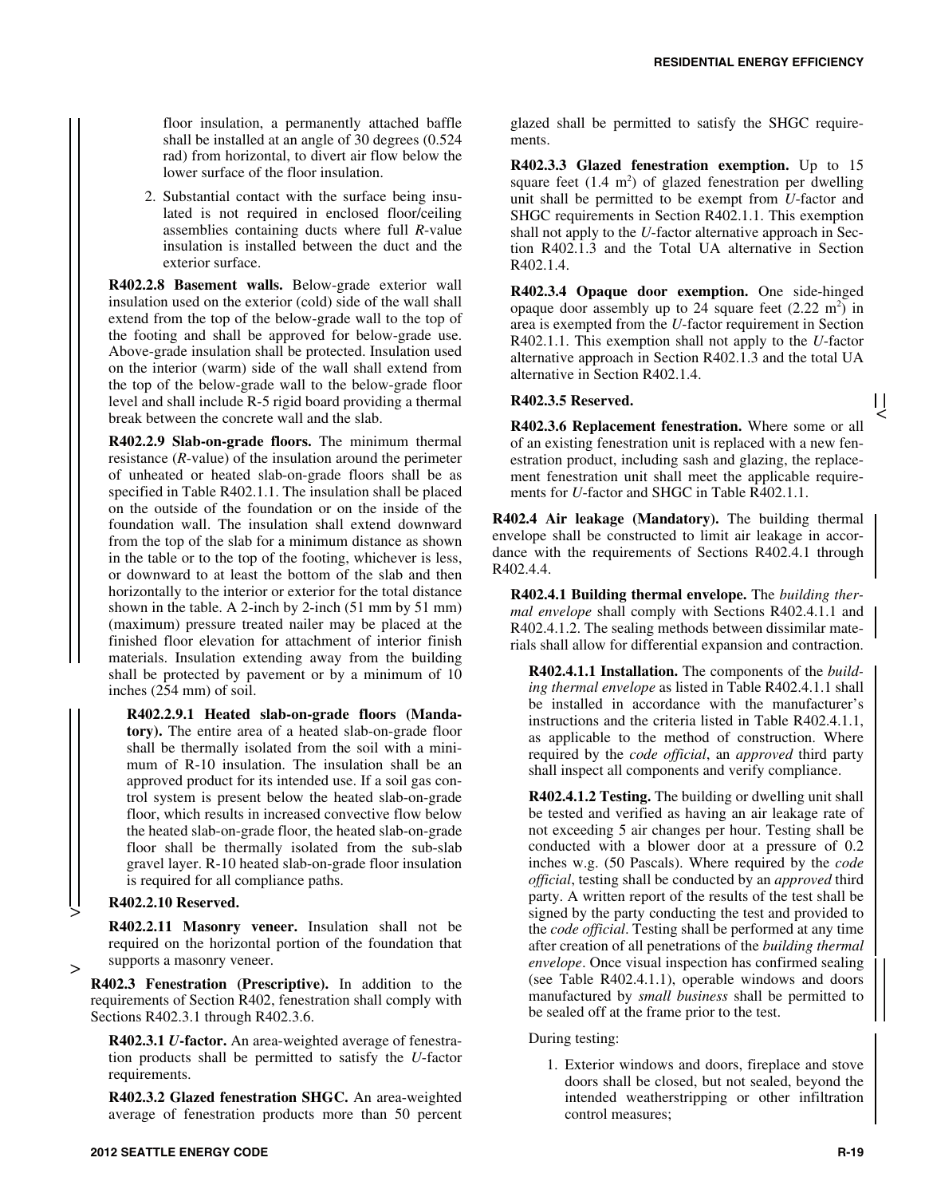floor insulation, a permanently attached baffle shall be installed at an angle of 30 degrees (0.524 rad) from horizontal, to divert air flow below the lower surface of the floor insulation.

2. Substantial contact with the surface being insulated is not required in enclosed floor/ceiling assemblies containing ducts where full *R*-value insulation is installed between the duct and the exterior surface.

**R402.2.8 Basement walls.** Below-grade exterior wall insulation used on the exterior (cold) side of the wall shall extend from the top of the below-grade wall to the top of the footing and shall be approved for below-grade use. Above-grade insulation shall be protected. Insulation used on the interior (warm) side of the wall shall extend from the top of the below-grade wall to the below-grade floor level and shall include R-5 rigid board providing a thermal break between the concrete wall and the slab.

**R402.2.9 Slab-on-grade floors.** The minimum thermal resistance (*R*-value) of the insulation around the perimeter of unheated or heated slab-on-grade floors shall be as specified in Table R402.1.1. The insulation shall be placed on the outside of the foundation or on the inside of the foundation wall. The insulation shall extend downward from the top of the slab for a minimum distance as shown in the table or to the top of the footing, whichever is less, or downward to at least the bottom of the slab and then horizontally to the interior or exterior for the total distance shown in the table. A 2-inch by 2-inch (51 mm by 51 mm) (maximum) pressure treated nailer may be placed at the finished floor elevation for attachment of interior finish materials. Insulation extending away from the building shall be protected by pavement or by a minimum of 10 inches (254 mm) of soil.

**R402.2.9.1 Heated slab-on-grade floors (Mandatory).** The entire area of a heated slab-on-grade floor shall be thermally isolated from the soil with a minimum of R-10 insulation. The insulation shall be an approved product for its intended use. If a soil gas control system is present below the heated slab-on-grade floor, which results in increased convective flow below the heated slab-on-grade floor, the heated slab-on-grade floor shall be thermally isolated from the sub-slab gravel layer. R-10 heated slab-on-grade floor insulation is required for all compliance paths.

# **R402.2.10 Reserved.**

>

>

**R402.2.11 Masonry veneer.** Insulation shall not be required on the horizontal portion of the foundation that supports a masonry veneer.

**R402.3 Fenestration (Prescriptive).** In addition to the requirements of Section R402, fenestration shall comply with Sections R402.3.1 through R402.3.6.

**R402.3.1** *U***-factor.** An area-weighted average of fenestration products shall be permitted to satisfy the *U*-factor requirements.

**R402.3.2 Glazed fenestration SHGC.** An area-weighted average of fenestration products more than 50 percent glazed shall be permitted to satisfy the SHGC requirements.

**R402.3.3 Glazed fenestration exemption.** Up to 15 square feet  $(1.4 \text{ m}^2)$  of glazed fenestration per dwelling unit shall be permitted to be exempt from *U*-factor and SHGC requirements in Section R402.1.1. This exemption shall not apply to the *U*-factor alternative approach in Section R402.1.3 and the Total UA alternative in Section R402.1.4.

**R402.3.4 Opaque door exemption.** One side-hinged opaque door assembly up to 24 square feet  $(2.22 \text{ m}^2)$  in area is exempted from the *U*-factor requirement in Section R402.1.1. This exemption shall not apply to the *U*-factor alternative approach in Section R402.1.3 and the total UA alternative in Section R402.1.4.

### **R402.3.5 Reserved.**

**R402.3.6 Replacement fenestration.** Where some or all of an existing fenestration unit is replaced with a new fenestration product, including sash and glazing, the replacement fenestration unit shall meet the applicable requirements for *U*-factor and SHGC in Table R402.1.1.

**R402.4 Air leakage (Mandatory).** The building thermal envelope shall be constructed to limit air leakage in accordance with the requirements of Sections R402.4.1 through R402.4.4.

**R402.4.1 Building thermal envelope.** The *building thermal envelope* shall comply with Sections R402.4.1.1 and R402.4.1.2. The sealing methods between dissimilar materials shall allow for differential expansion and contraction.

**R402.4.1.1 Installation.** The components of the *building thermal envelope* as listed in Table R402.4.1.1 shall be installed in accordance with the manufacturer's instructions and the criteria listed in Table R402.4.1.1, as applicable to the method of construction. Where required by the *code official*, an *approved* third party shall inspect all components and verify compliance.

**R402.4.1.2 Testing.** The building or dwelling unit shall be tested and verified as having an air leakage rate of not exceeding 5 air changes per hour. Testing shall be conducted with a blower door at a pressure of 0.2 inches w.g. (50 Pascals). Where required by the *code official*, testing shall be conducted by an *approved* third party. A written report of the results of the test shall be signed by the party conducting the test and provided to the *code official*. Testing shall be performed at any time after creation of all penetrations of the *building thermal envelope*. Once visual inspection has confirmed sealing (see Table R402.4.1.1), operable windows and doors manufactured by *small business* shall be permitted to be sealed off at the frame prior to the test.

During testing:

1. Exterior windows and doors, fireplace and stove doors shall be closed, but not sealed, beyond the intended weatherstripping or other infiltration control measures;

 $\mathbf{1}$  $\,<$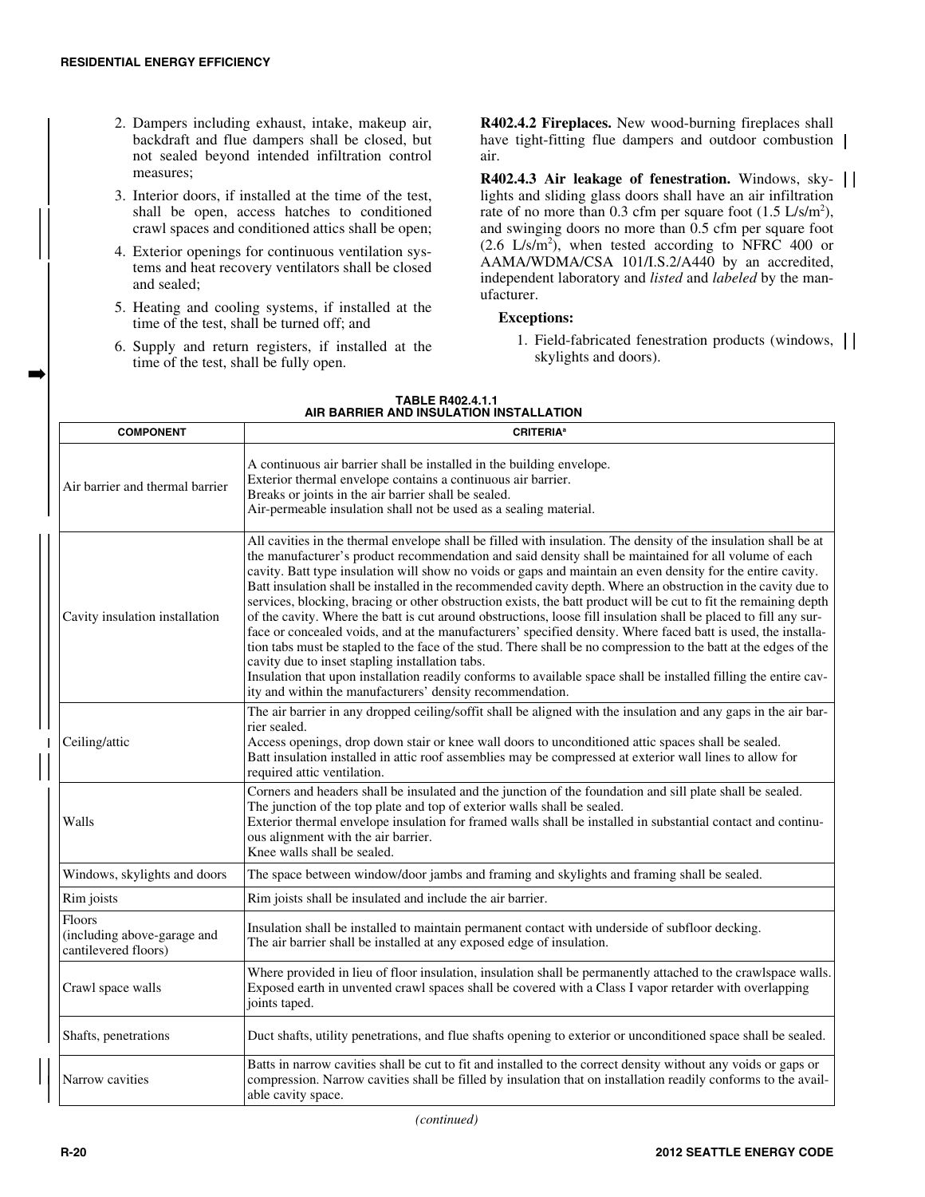➡

- 2. Dampers including exhaust, intake, makeup air, backdraft and flue dampers shall be closed, but not sealed beyond intended infiltration control measures;
- 3. Interior doors, if installed at the time of the test, shall be open, access hatches to conditioned crawl spaces and conditioned attics shall be open;
- 4. Exterior openings for continuous ventilation systems and heat recovery ventilators shall be closed and sealed;
- 5. Heating and cooling systems, if installed at the time of the test, shall be turned off; and
- 6. Supply and return registers, if installed at the time of the test, shall be fully open.

**R402.4.2 Fireplaces.** New wood-burning fireplaces shall have tight-fitting flue dampers and outdoor combustion | air.

**R402.4.3 Air leakage of fenestration.** Windows, skylights and sliding glass doors shall have an air infiltration rate of no more than 0.3 cfm per square foot  $(1.5 \text{ L/s/m}^2)$ , and swinging doors no more than 0.5 cfm per square foot  $(2.6 \text{ L/s/m}^2)$ , when tested according to NFRC 400 or AAMA/WDMA/CSA 101/I.S.2/A440 by an accredited, independent laboratory and *listed* and *labeled* by the manufacturer.

### **Exceptions:**

1. Field-fabricated fenestration products (windows, skylights and doors).

| <b>COMPONENT</b>                                              | <b>CRITERIA<sup>a</sup></b>                                                                                                                                                                                                                                                                                                                                                                                                                                                                                                                                                                                                                                                                                                                                                                                                                                                                                                                                                                                                                                                                                                                                               |
|---------------------------------------------------------------|---------------------------------------------------------------------------------------------------------------------------------------------------------------------------------------------------------------------------------------------------------------------------------------------------------------------------------------------------------------------------------------------------------------------------------------------------------------------------------------------------------------------------------------------------------------------------------------------------------------------------------------------------------------------------------------------------------------------------------------------------------------------------------------------------------------------------------------------------------------------------------------------------------------------------------------------------------------------------------------------------------------------------------------------------------------------------------------------------------------------------------------------------------------------------|
| Air barrier and thermal barrier                               | A continuous air barrier shall be installed in the building envelope.<br>Exterior thermal envelope contains a continuous air barrier.<br>Breaks or joints in the air barrier shall be sealed.<br>Air-permeable insulation shall not be used as a sealing material.                                                                                                                                                                                                                                                                                                                                                                                                                                                                                                                                                                                                                                                                                                                                                                                                                                                                                                        |
| Cavity insulation installation                                | All cavities in the thermal envelope shall be filled with insulation. The density of the insulation shall be at<br>the manufacturer's product recommendation and said density shall be maintained for all volume of each<br>cavity. Batt type insulation will show no voids or gaps and maintain an even density for the entire cavity.<br>Batt insulation shall be installed in the recommended cavity depth. Where an obstruction in the cavity due to<br>services, blocking, bracing or other obstruction exists, the batt product will be cut to fit the remaining depth<br>of the cavity. Where the batt is cut around obstructions, loose fill insulation shall be placed to fill any sur-<br>face or concealed voids, and at the manufacturers' specified density. Where faced batt is used, the installa-<br>tion tabs must be stapled to the face of the stud. There shall be no compression to the batt at the edges of the<br>cavity due to inset stapling installation tabs.<br>Insulation that upon installation readily conforms to available space shall be installed filling the entire cav-<br>ity and within the manufacturers' density recommendation. |
| Ceiling/attic                                                 | The air barrier in any dropped ceiling/soffit shall be aligned with the insulation and any gaps in the air bar-<br>rier sealed.<br>Access openings, drop down stair or knee wall doors to unconditioned attic spaces shall be sealed.<br>Batt insulation installed in attic roof assemblies may be compressed at exterior wall lines to allow for<br>required attic ventilation.                                                                                                                                                                                                                                                                                                                                                                                                                                                                                                                                                                                                                                                                                                                                                                                          |
| Walls                                                         | Corners and headers shall be insulated and the junction of the foundation and sill plate shall be sealed.<br>The junction of the top plate and top of exterior walls shall be sealed.<br>Exterior thermal envelope insulation for framed walls shall be installed in substantial contact and continu-<br>ous alignment with the air barrier.<br>Knee walls shall be sealed.                                                                                                                                                                                                                                                                                                                                                                                                                                                                                                                                                                                                                                                                                                                                                                                               |
| Windows, skylights and doors                                  | The space between window/door jambs and framing and skylights and framing shall be sealed.                                                                                                                                                                                                                                                                                                                                                                                                                                                                                                                                                                                                                                                                                                                                                                                                                                                                                                                                                                                                                                                                                |
| Rim joists                                                    | Rim joists shall be insulated and include the air barrier.                                                                                                                                                                                                                                                                                                                                                                                                                                                                                                                                                                                                                                                                                                                                                                                                                                                                                                                                                                                                                                                                                                                |
| Floors<br>(including above-garage and<br>cantilevered floors) | Insulation shall be installed to maintain permanent contact with underside of subfloor decking.<br>The air barrier shall be installed at any exposed edge of insulation.                                                                                                                                                                                                                                                                                                                                                                                                                                                                                                                                                                                                                                                                                                                                                                                                                                                                                                                                                                                                  |
| Crawl space walls                                             | Where provided in lieu of floor insulation, insulation shall be permanently attached to the crawlspace walls.<br>Exposed earth in unvented crawl spaces shall be covered with a Class I vapor retarder with overlapping<br>joints taped.                                                                                                                                                                                                                                                                                                                                                                                                                                                                                                                                                                                                                                                                                                                                                                                                                                                                                                                                  |
| Shafts, penetrations                                          | Duct shafts, utility penetrations, and flue shafts opening to exterior or unconditioned space shall be sealed.                                                                                                                                                                                                                                                                                                                                                                                                                                                                                                                                                                                                                                                                                                                                                                                                                                                                                                                                                                                                                                                            |
| Narrow cavities                                               | Batts in narrow cavities shall be cut to fit and installed to the correct density without any voids or gaps or<br>compression. Narrow cavities shall be filled by insulation that on installation readily conforms to the avail-<br>able cavity space.                                                                                                                                                                                                                                                                                                                                                                                                                                                                                                                                                                                                                                                                                                                                                                                                                                                                                                                    |

#### **TABLE R402.4.1.1 AIR BARRIER AND INSULATION INSTALLATION**

*(continued)*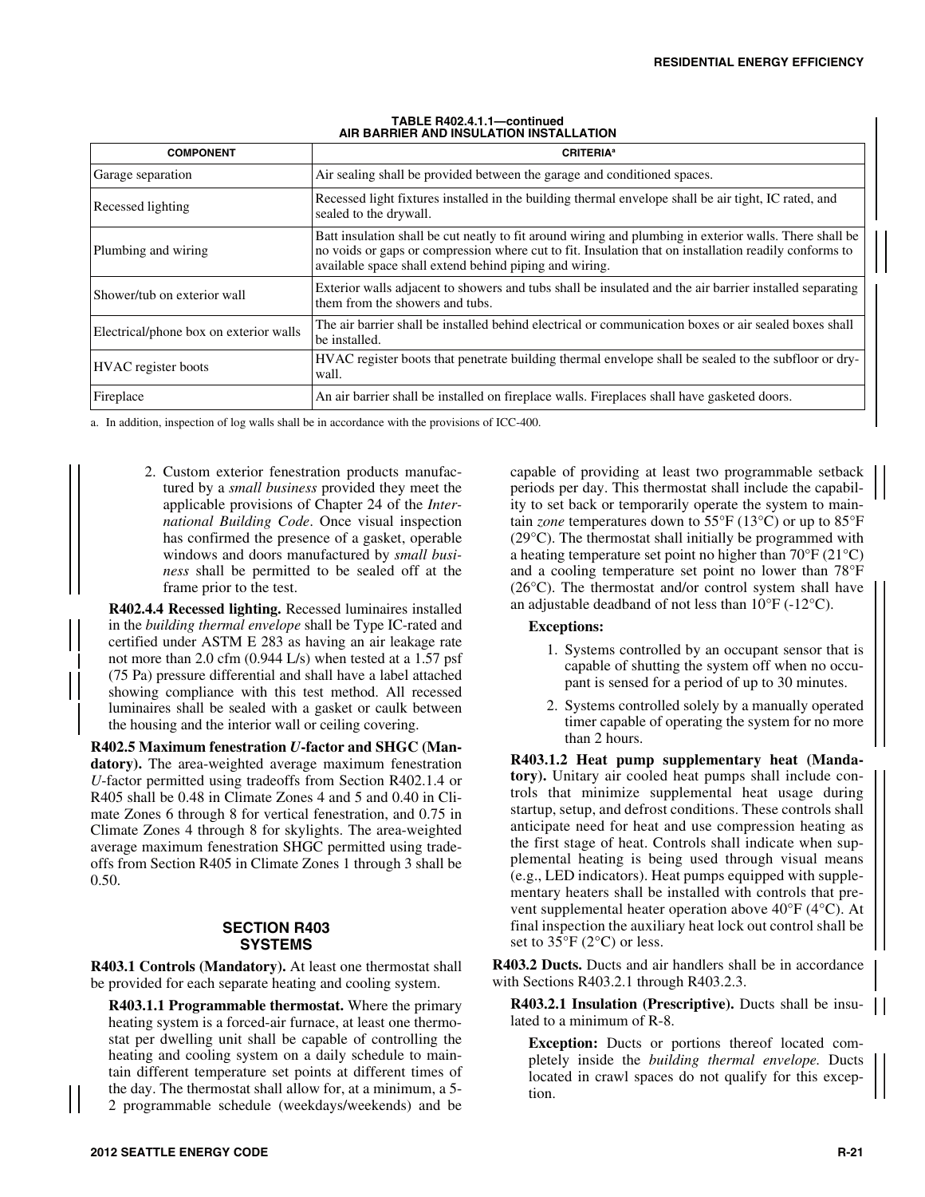| <b>COMPONENT</b>                       | <b>CRITERIA<sup>®</sup></b>                                                                                                                                                                                                                                                |
|----------------------------------------|----------------------------------------------------------------------------------------------------------------------------------------------------------------------------------------------------------------------------------------------------------------------------|
| Garage separation                      | Air sealing shall be provided between the garage and conditioned spaces.                                                                                                                                                                                                   |
| Recessed lighting                      | Recessed light fixtures installed in the building thermal envelope shall be air tight, IC rated, and<br>sealed to the drywall.                                                                                                                                             |
| Plumbing and wiring                    | Batt insulation shall be cut neatly to fit around wiring and plumbing in exterior walls. There shall be<br>no voids or gaps or compression where cut to fit. Insulation that on installation readily conforms to<br>available space shall extend behind piping and wiring. |
| Shower/tub on exterior wall            | Exterior walls adjacent to showers and tubs shall be insulated and the air barrier installed separating<br>them from the showers and tubs.                                                                                                                                 |
| Electrical/phone box on exterior walls | The air barrier shall be installed behind electrical or communication boxes or air sealed boxes shall<br>be installed.                                                                                                                                                     |
| <b>HVAC</b> register boots             | HVAC register boots that penetrate building thermal envelope shall be sealed to the subfloor or dry-<br>wall.                                                                                                                                                              |
| Fireplace                              | An air barrier shall be installed on fireplace walls. Fireplaces shall have gasketed doors.                                                                                                                                                                                |

#### **TABLE R402.4.1.1—continued AIR BARRIER AND INSULATION INSTALLATION**

a. In addition, inspection of log walls shall be in accordance with the provisions of ICC-400.

2. Custom exterior fenestration products manufactured by a *small business* provided they meet the applicable provisions of Chapter 24 of the *International Building Code*. Once visual inspection has confirmed the presence of a gasket, operable windows and doors manufactured by *small business* shall be permitted to be sealed off at the frame prior to the test.

**R402.4.4 Recessed lighting.** Recessed luminaires installed in the *building thermal envelope* shall be Type IC-rated and certified under ASTM E 283 as having an air leakage rate not more than 2.0 cfm (0.944 L/s) when tested at a 1.57 psf (75 Pa) pressure differential and shall have a label attached showing compliance with this test method. All recessed luminaires shall be sealed with a gasket or caulk between the housing and the interior wall or ceiling covering.

**R402.5 Maximum fenestration** *U***-factor and SHGC (Mandatory).** The area-weighted average maximum fenestration *U*-factor permitted using tradeoffs from Section R402.1.4 or R405 shall be 0.48 in Climate Zones 4 and 5 and 0.40 in Climate Zones 6 through 8 for vertical fenestration, and 0.75 in Climate Zones 4 through 8 for skylights. The area-weighted average maximum fenestration SHGC permitted using tradeoffs from Section R405 in Climate Zones 1 through 3 shall be 0.50.

### **SECTION R403 SYSTEMS**

**R403.1 Controls (Mandatory).** At least one thermostat shall be provided for each separate heating and cooling system.

**R403.1.1 Programmable thermostat.** Where the primary heating system is a forced-air furnace, at least one thermostat per dwelling unit shall be capable of controlling the heating and cooling system on a daily schedule to maintain different temperature set points at different times of the day. The thermostat shall allow for, at a minimum, a 5- 2 programmable schedule (weekdays/weekends) and be

capable of providing at least two programmable setback periods per day. This thermostat shall include the capability to set back or temporarily operate the system to maintain *zone* temperatures down to 55°F (13°C) or up to 85°F (29°C). The thermostat shall initially be programmed with a heating temperature set point no higher than 70°F (21°C) and a cooling temperature set point no lower than 78°F (26°C). The thermostat and/or control system shall have an adjustable deadband of not less than 10°F (-12°C).

# **Exceptions:**

- 1. Systems controlled by an occupant sensor that is capable of shutting the system off when no occupant is sensed for a period of up to 30 minutes.
- 2. Systems controlled solely by a manually operated timer capable of operating the system for no more than 2 hours.

**R403.1.2 Heat pump supplementary heat (Mandatory).** Unitary air cooled heat pumps shall include controls that minimize supplemental heat usage during startup, setup, and defrost conditions. These controls shall anticipate need for heat and use compression heating as the first stage of heat. Controls shall indicate when supplemental heating is being used through visual means (e.g., LED indicators). Heat pumps equipped with supplementary heaters shall be installed with controls that prevent supplemental heater operation above 40°F (4°C). At final inspection the auxiliary heat lock out control shall be set to 35°F (2°C) or less.

**R403.2 Ducts.** Ducts and air handlers shall be in accordance with Sections R403.2.1 through R403.2.3.

**R403.2.1 Insulation (Prescriptive).** Ducts shall be insulated to a minimum of R-8.

**Exception:** Ducts or portions thereof located completely inside the *building thermal envelope.* Ducts located in crawl spaces do not qualify for this exception.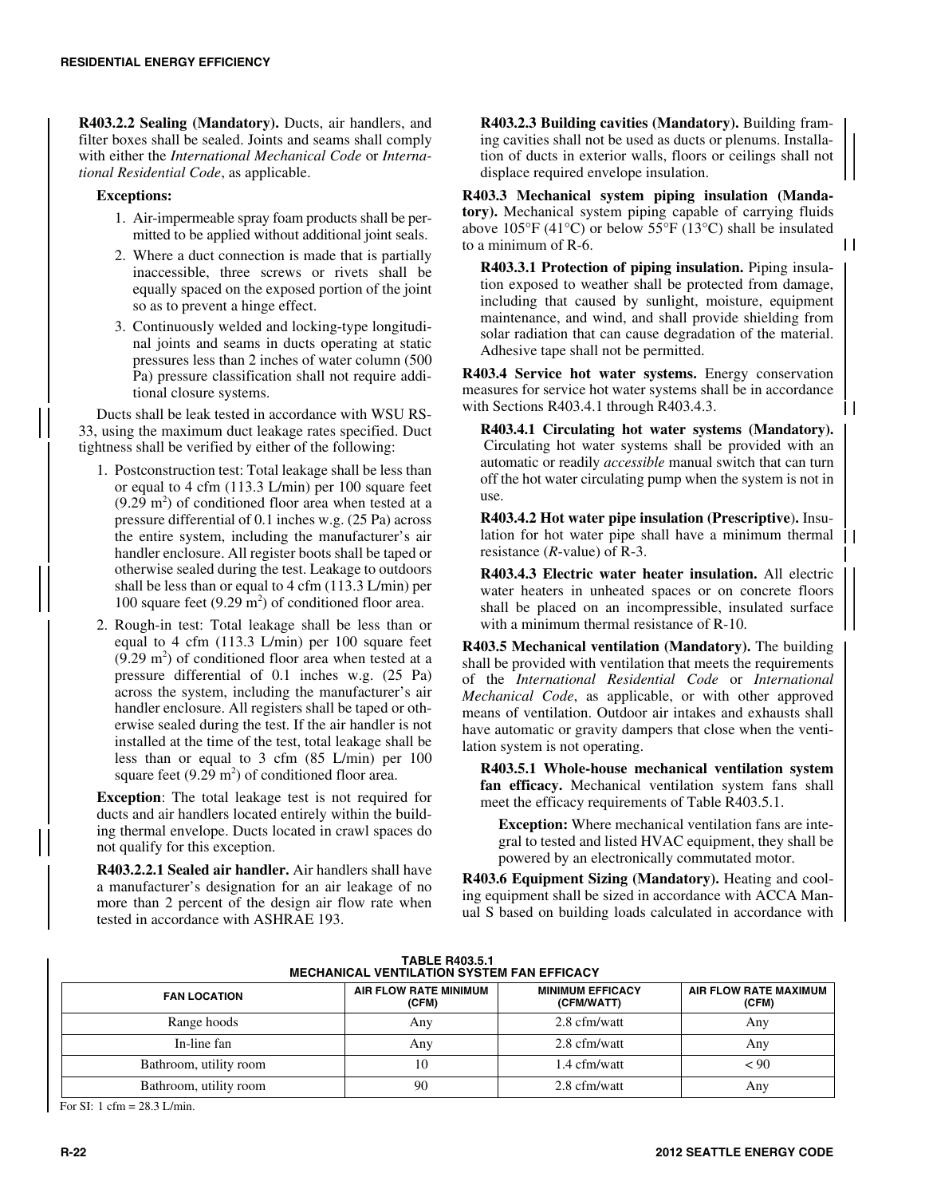**R403.2.2 Sealing (Mandatory).** Ducts, air handlers, and filter boxes shall be sealed. Joints and seams shall comply with either the *International Mechanical Code* or *International Residential Code*, as applicable.

**Exceptions:**

- 1. Air-impermeable spray foam products shall be permitted to be applied without additional joint seals.
- 2. Where a duct connection is made that is partially inaccessible, three screws or rivets shall be equally spaced on the exposed portion of the joint so as to prevent a hinge effect.
- 3. Continuously welded and locking-type longitudinal joints and seams in ducts operating at static pressures less than 2 inches of water column (500 Pa) pressure classification shall not require additional closure systems.

Ducts shall be leak tested in accordance with WSU RS-33, using the maximum duct leakage rates specified. Duct tightness shall be verified by either of the following:

- 1. Postconstruction test: Total leakage shall be less than or equal to 4 cfm (113.3 L/min) per 100 square feet  $(9.29 \text{ m}^2)$  of conditioned floor area when tested at a pressure differential of 0.1 inches w.g. (25 Pa) across the entire system, including the manufacturer's air handler enclosure. All register boots shall be taped or otherwise sealed during the test. Leakage to outdoors shall be less than or equal to 4 cfm (113.3 L/min) per 100 square feet  $(9.29 \text{ m}^2)$  of conditioned floor area.
- 2. Rough-in test: Total leakage shall be less than or equal to 4 cfm (113.3 L/min) per 100 square feet  $(9.29 \text{ m}^2)$  of conditioned floor area when tested at a pressure differential of 0.1 inches w.g. (25 Pa) across the system, including the manufacturer's air handler enclosure. All registers shall be taped or otherwise sealed during the test. If the air handler is not installed at the time of the test, total leakage shall be less than or equal to 3 cfm (85 L/min) per 100 square feet  $(9.29 \text{ m}^2)$  of conditioned floor area.

**Exception**: The total leakage test is not required for ducts and air handlers located entirely within the building thermal envelope. Ducts located in crawl spaces do not qualify for this exception.

**R403.2.2.1 Sealed air handler.** Air handlers shall have a manufacturer's designation for an air leakage of no more than 2 percent of the design air flow rate when tested in accordance with ASHRAE 193.

**R403.2.3 Building cavities (Mandatory).** Building framing cavities shall not be used as ducts or plenums. Installation of ducts in exterior walls, floors or ceilings shall not displace required envelope insulation.

**R403.3 Mechanical system piping insulation (Mandatory).** Mechanical system piping capable of carrying fluids above  $105^{\circ}F (41^{\circ}C)$  or below  $55^{\circ}F (13^{\circ}C)$  shall be insulated to a minimum of R-6.

**R403.3.1 Protection of piping insulation.** Piping insulation exposed to weather shall be protected from damage, including that caused by sunlight, moisture, equipment maintenance, and wind, and shall provide shielding from solar radiation that can cause degradation of the material. Adhesive tape shall not be permitted.

 $\mathbf{1}$ 

1 I

**R403.4 Service hot water systems.** Energy conservation measures for service hot water systems shall be in accordance with Sections R403.4.1 through R403.4.3.

**R403.4.1 Circulating hot water systems (Mandatory).** Circulating hot water systems shall be provided with an automatic or readily *accessible* manual switch that can turn off the hot water circulating pump when the system is not in use.

**R403.4.2 Hot water pipe insulation (Prescriptive**)**.** Insulation for hot water pipe shall have a minimum thermal  $\parallel$  | resistance (*R*-value) of R-3.

**R403.4.3 Electric water heater insulation.** All electric water heaters in unheated spaces or on concrete floors shall be placed on an incompressible, insulated surface with a minimum thermal resistance of R-10.

**R403.5 Mechanical ventilation (Mandatory).** The building shall be provided with ventilation that meets the requirements of the *International Residential Code* or *International Mechanical Code*, as applicable, or with other approved means of ventilation. Outdoor air intakes and exhausts shall have automatic or gravity dampers that close when the ventilation system is not operating.

**R403.5.1 Whole-house mechanical ventilation system fan efficacy.** Mechanical ventilation system fans shall meet the efficacy requirements of Table R403.5.1.

**Exception:** Where mechanical ventilation fans are integral to tested and listed HVAC equipment, they shall be powered by an electronically commutated motor.

**R403.6 Equipment Sizing (Mandatory).** Heating and cooling equipment shall be sized in accordance with ACCA Manual S based on building loads calculated in accordance with

| .<br><b>MECHANICAL VENTILATION SYSTEM FAN EFFICACY</b> |                                |                                       |                                |
|--------------------------------------------------------|--------------------------------|---------------------------------------|--------------------------------|
| <b>FAN LOCATION</b>                                    | AIR FLOW RATE MINIMUM<br>(CFM) | <b>MINIMUM EFFICACY</b><br>(CFM/WATT) | AIR FLOW RATE MAXIMUM<br>(CFM) |
| Range hoods                                            | Any                            | 2.8 cfm/watt                          | Any                            |
| In-line fan                                            | Any                            | 2.8 cfm/watt                          | Any                            |
| Bathroom, utility room                                 | 10                             | 1.4 cfm/watt                          | < 90                           |
| Bathroom, utility room                                 | 90                             | 2.8 cfm/watt                          | Any                            |

**TABLE R403.5.1**

For SI: 1 cfm = 28.3 L/min.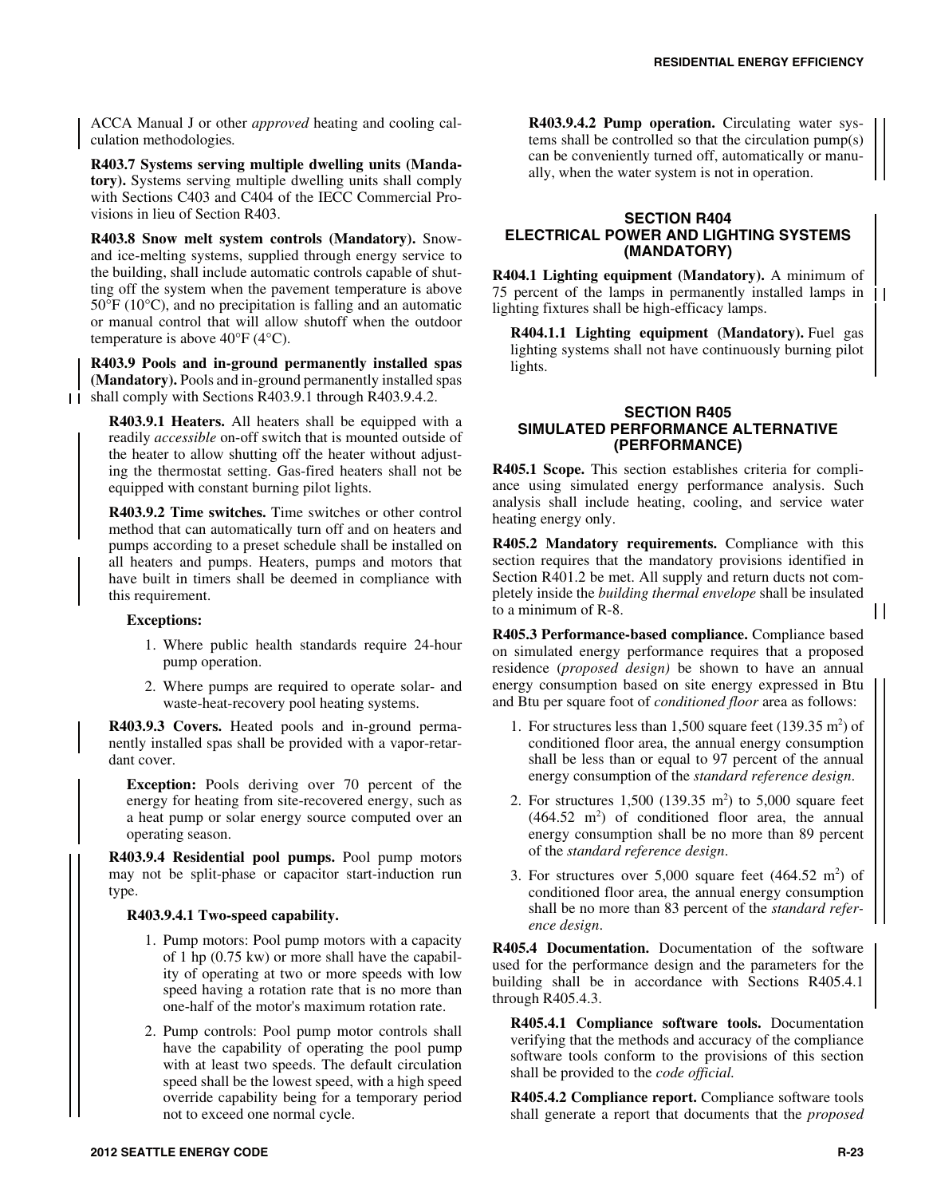ACCA Manual J or other *approved* heating and cooling calculation methodologies*.* 

**R403.7 Systems serving multiple dwelling units (Mandatory).** Systems serving multiple dwelling units shall comply with Sections C403 and C404 of the IECC Commercial Provisions in lieu of Section R403.

**R403.8 Snow melt system controls (Mandatory).** Snowand ice-melting systems, supplied through energy service to the building, shall include automatic controls capable of shutting off the system when the pavement temperature is above 50°F (10°C), and no precipitation is falling and an automatic or manual control that will allow shutoff when the outdoor temperature is above  $40^{\circ}$ F (4 $^{\circ}$ C).

**R403.9 Pools and in-ground permanently installed spas (Mandatory).** Pools and in-ground permanently installed spas 11 shall comply with Sections R403.9.1 through R403.9.4.2.

**R403.9.1 Heaters.** All heaters shall be equipped with a readily *accessible* on-off switch that is mounted outside of the heater to allow shutting off the heater without adjusting the thermostat setting. Gas-fired heaters shall not be equipped with constant burning pilot lights.

**R403.9.2 Time switches.** Time switches or other control method that can automatically turn off and on heaters and pumps according to a preset schedule shall be installed on all heaters and pumps. Heaters, pumps and motors that have built in timers shall be deemed in compliance with this requirement.

### **Exceptions:**

- 1. Where public health standards require 24-hour pump operation.
- 2. Where pumps are required to operate solar- and waste-heat-recovery pool heating systems.

**R403.9.3 Covers.** Heated pools and in-ground permanently installed spas shall be provided with a vapor-retardant cover.

**Exception:** Pools deriving over 70 percent of the energy for heating from site-recovered energy, such as a heat pump or solar energy source computed over an operating season.

**R403.9.4 Residential pool pumps.** Pool pump motors may not be split-phase or capacitor start-induction run type.

#### **R403.9.4.1 Two-speed capability.**

- 1. Pump motors: Pool pump motors with a capacity of 1 hp (0.75 kw) or more shall have the capability of operating at two or more speeds with low speed having a rotation rate that is no more than one-half of the motor's maximum rotation rate.
- 2. Pump controls: Pool pump motor controls shall have the capability of operating the pool pump with at least two speeds. The default circulation speed shall be the lowest speed, with a high speed override capability being for a temporary period not to exceed one normal cycle.

**R403.9.4.2 Pump operation.** Circulating water systems shall be controlled so that the circulation pump(s) can be conveniently turned off, automatically or manually, when the water system is not in operation.

### **SECTION R404 ELECTRICAL POWER AND LIGHTING SYSTEMS (MANDATORY)**

**R404.1 Lighting equipment (Mandatory).** A minimum of 75 percent of the lamps in permanently installed lamps in lighting fixtures shall be high-efficacy lamps.

**R404.1.1 Lighting equipment (Mandatory).** Fuel gas lighting systems shall not have continuously burning pilot lights.

### **SECTION R405 SIMULATED PERFORMANCE ALTERNATIVE (PERFORMANCE)**

**R405.1 Scope.** This section establishes criteria for compliance using simulated energy performance analysis. Such analysis shall include heating, cooling, and service water heating energy only.

**R405.2 Mandatory requirements.** Compliance with this section requires that the mandatory provisions identified in Section R401.2 be met. All supply and return ducts not completely inside the *building thermal envelope* shall be insulated to a minimum of R-8.

**R405.3 Performance-based compliance.** Compliance based on simulated energy performance requires that a proposed residence (*proposed design)* be shown to have an annual energy consumption based on site energy expressed in Btu and Btu per square foot of *conditioned floor* area as follows:

- 1. For structures less than  $1,500$  square feet (139.35 m<sup>2</sup>) of conditioned floor area, the annual energy consumption shall be less than or equal to 97 percent of the annual energy consumption of the *standard reference design*.
- 2. For structures  $1,500$  (139.35 m<sup>2</sup>) to 5,000 square feet  $(464.52 \text{ m}^2)$  of conditioned floor area, the annual energy consumption shall be no more than 89 percent of the *standard reference design*.
- 3. For structures over  $5,000$  square feet  $(464.52 \text{ m}^2)$  of conditioned floor area, the annual energy consumption shall be no more than 83 percent of the *standard reference design*.

**R405.4 Documentation.** Documentation of the software used for the performance design and the parameters for the building shall be in accordance with Sections R405.4.1 through R405.4.3.

**R405.4.1 Compliance software tools.** Documentation verifying that the methods and accuracy of the compliance software tools conform to the provisions of this section shall be provided to the *code official.*

**R405.4.2 Compliance report.** Compliance software tools shall generate a report that documents that the *proposed*

 $\mathbf{1}$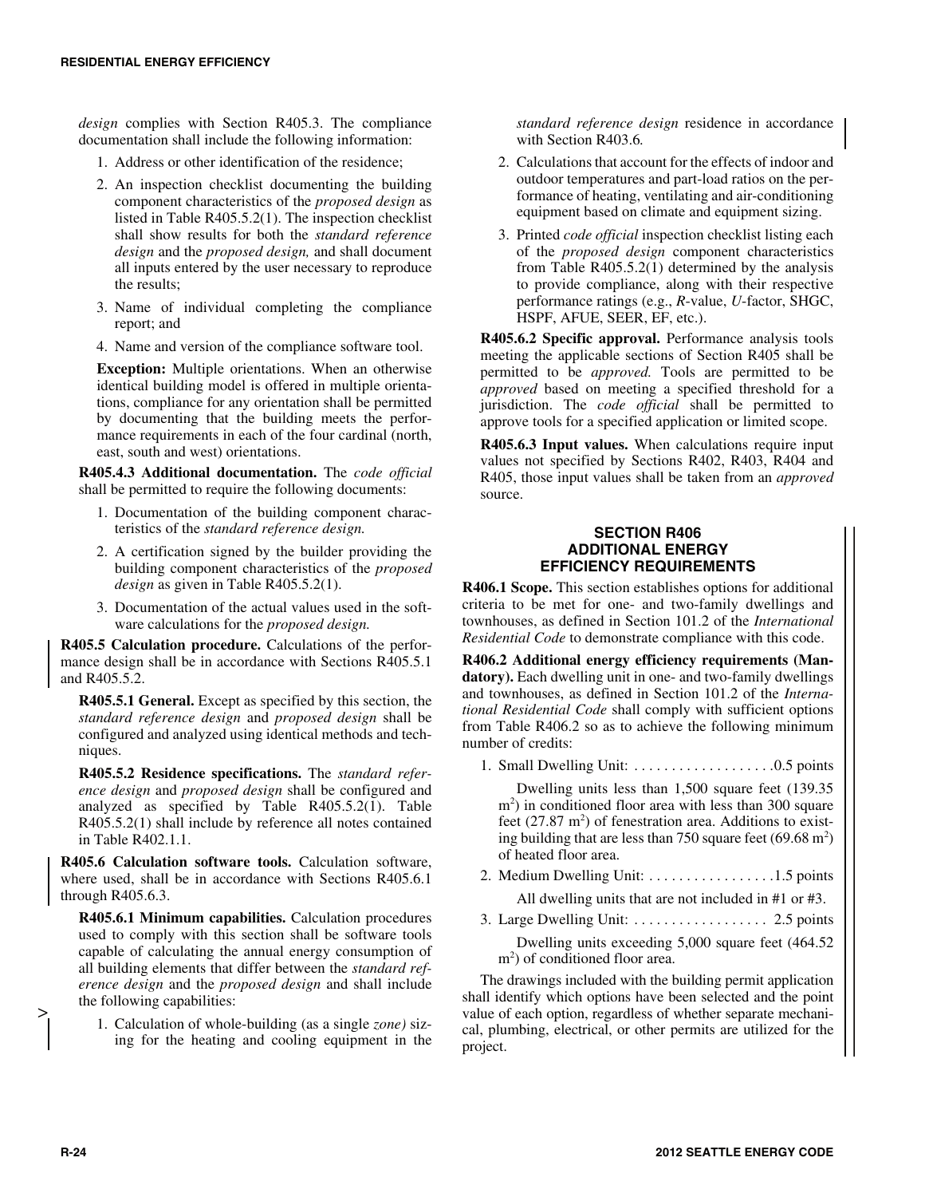*design* complies with Section R405.3. The compliance documentation shall include the following information:

- 1. Address or other identification of the residence;
- 2. An inspection checklist documenting the building component characteristics of the *proposed design* as listed in Table R405.5.2(1). The inspection checklist shall show results for both the *standard reference design* and the *proposed design,* and shall document all inputs entered by the user necessary to reproduce the results;
- 3. Name of individual completing the compliance report; and
- 4. Name and version of the compliance software tool.

**Exception:** Multiple orientations. When an otherwise identical building model is offered in multiple orientations, compliance for any orientation shall be permitted by documenting that the building meets the performance requirements in each of the four cardinal (north, east, south and west) orientations.

**R405.4.3 Additional documentation.** The *code official* shall be permitted to require the following documents:

- 1. Documentation of the building component characteristics of the *standard reference design.*
- 2. A certification signed by the builder providing the building component characteristics of the *proposed design* as given in Table R405.5.2(1).
- 3. Documentation of the actual values used in the software calculations for the *proposed design.*

**R405.5 Calculation procedure.** Calculations of the performance design shall be in accordance with Sections R405.5.1 and R405.5.2.

**R405.5.1 General.** Except as specified by this section, the *standard reference design* and *proposed design* shall be configured and analyzed using identical methods and techniques.

**R405.5.2 Residence specifications.** The *standard reference design* and *proposed design* shall be configured and analyzed as specified by Table R405.5.2(1). Table R405.5.2(1) shall include by reference all notes contained in Table R402.1.1.

**R405.6 Calculation software tools.** Calculation software, where used, shall be in accordance with Sections R405.6.1 through R405.6.3.

**R405.6.1 Minimum capabilities.** Calculation procedures used to comply with this section shall be software tools capable of calculating the annual energy consumption of all building elements that differ between the *standard reference design* and the *proposed design* and shall include the following capabilities:

1. Calculation of whole-building (as a single *zone)* sizing for the heating and cooling equipment in the *standard reference design* residence in accordance with Section R403.6*.* 

- 2. Calculations that account for the effects of indoor and outdoor temperatures and part-load ratios on the performance of heating, ventilating and air-conditioning equipment based on climate and equipment sizing.
- 3. Printed *code official* inspection checklist listing each of the *proposed design* component characteristics from Table R405.5.2(1) determined by the analysis to provide compliance, along with their respective performance ratings (e.g., *R*-value, *U*-factor, SHGC, HSPF, AFUE, SEER, EF, etc.).

**R405.6.2 Specific approval.** Performance analysis tools meeting the applicable sections of Section R405 shall be permitted to be *approved.* Tools are permitted to be *approved* based on meeting a specified threshold for a jurisdiction. The *code official* shall be permitted to approve tools for a specified application or limited scope.

**R405.6.3 Input values.** When calculations require input values not specified by Sections R402, R403, R404 and R405, those input values shall be taken from an *approved* source.

# **SECTION R406 ADDITIONAL ENERGY EFFICIENCY REQUIREMENTS**

**R406.1 Scope.** This section establishes options for additional criteria to be met for one- and two-family dwellings and townhouses, as defined in Section 101.2 of the *International Residential Code* to demonstrate compliance with this code.

**R406.2 Additional energy efficiency requirements (Mandatory).** Each dwelling unit in one- and two-family dwellings and townhouses, as defined in Section 101.2 of the *International Residential Code* shall comply with sufficient options from Table R406.2 so as to achieve the following minimum number of credits:

1. Small Dwelling Unit: . . . . . . . . . . . . . . . . . . .0.5 points

Dwelling units less than 1,500 square feet (139.35 m<sup>2</sup>) in conditioned floor area with less than 300 square feet  $(27.87 \text{ m}^2)$  of fenestration area. Additions to existing building that are less than 750 square feet  $(69.68 \text{ m}^2)$ of heated floor area.

- 2. Medium Dwelling Unit: . . . . . . . . . . . . . . . . .1.5 points All dwelling units that are not included in #1 or #3.
- 3. Large Dwelling Unit: . . . . . . . . . . . . . . . . . . 2.5 points Dwelling units exceeding 5,000 square feet (464.52 m<sup>2</sup>) of conditioned floor area.

The drawings included with the building permit application shall identify which options have been selected and the point value of each option, regardless of whether separate mechanical, plumbing, electrical, or other permits are utilized for the project.

>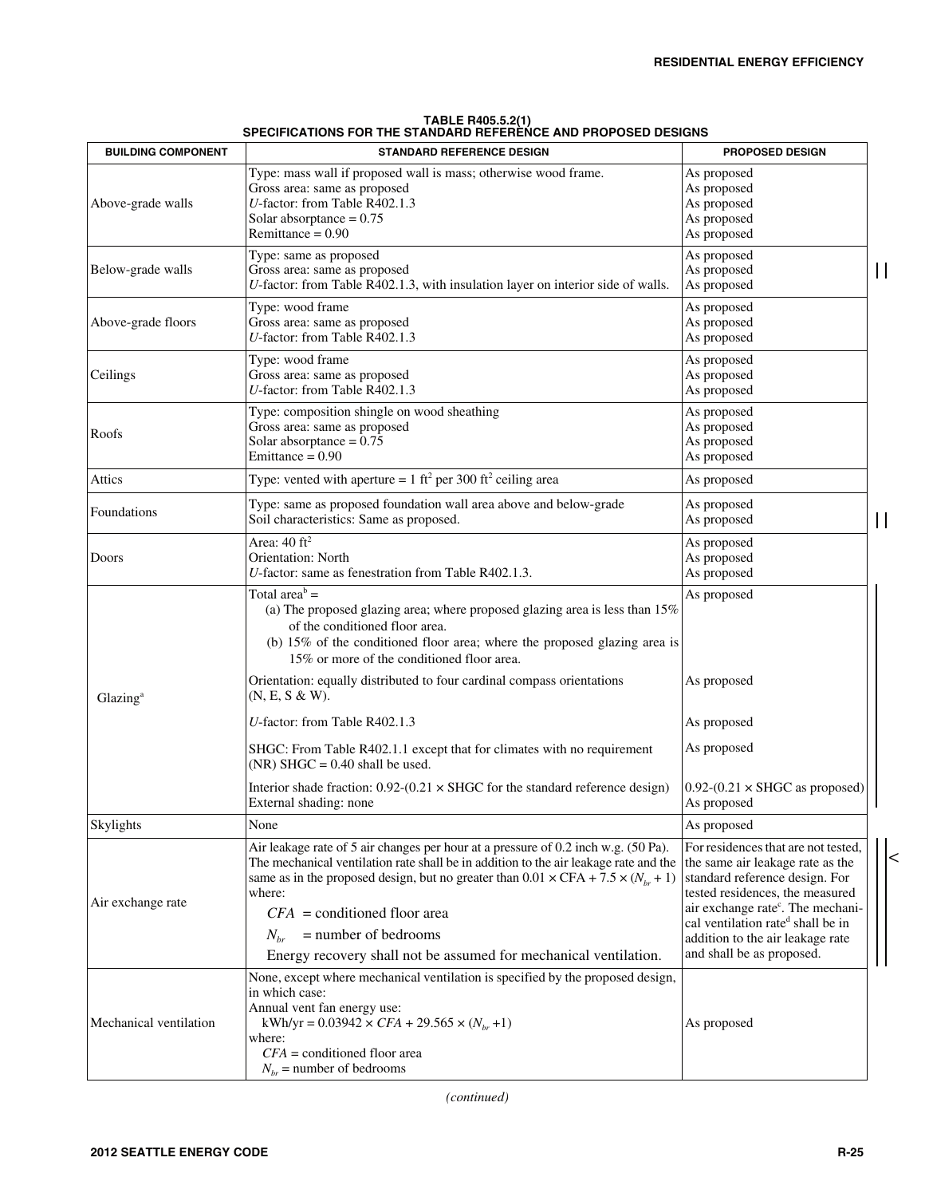| <b>BUILDING COMPONENT</b> | <b>STANDARD REFERENCE DESIGN</b>                                                                                                                                                                                                                                                                                                                                                                                                         | <b>PROPOSED DESIGN</b>                                                                                                                                                                                                                                                                                          |              |
|---------------------------|------------------------------------------------------------------------------------------------------------------------------------------------------------------------------------------------------------------------------------------------------------------------------------------------------------------------------------------------------------------------------------------------------------------------------------------|-----------------------------------------------------------------------------------------------------------------------------------------------------------------------------------------------------------------------------------------------------------------------------------------------------------------|--------------|
| Above-grade walls         | Type: mass wall if proposed wall is mass; otherwise wood frame.<br>Gross area: same as proposed<br>U-factor: from Table R402.1.3<br>Solar absorptance = $0.75$<br>Remittance = $0.90$                                                                                                                                                                                                                                                    | As proposed<br>As proposed<br>As proposed<br>As proposed<br>As proposed                                                                                                                                                                                                                                         |              |
| Below-grade walls         | Type: same as proposed<br>Gross area: same as proposed<br>U-factor: from Table R402.1.3, with insulation layer on interior side of walls.                                                                                                                                                                                                                                                                                                | As proposed<br>As proposed<br>As proposed                                                                                                                                                                                                                                                                       | $\mathsf{I}$ |
| Above-grade floors        | Type: wood frame<br>Gross area: same as proposed<br>U-factor: from Table R402.1.3                                                                                                                                                                                                                                                                                                                                                        | As proposed<br>As proposed<br>As proposed                                                                                                                                                                                                                                                                       |              |
| Ceilings                  | Type: wood frame<br>Gross area: same as proposed<br>$U$ -factor: from Table R402.1.3                                                                                                                                                                                                                                                                                                                                                     | As proposed<br>As proposed<br>As proposed                                                                                                                                                                                                                                                                       |              |
| Roofs                     | Type: composition shingle on wood sheathing<br>Gross area: same as proposed<br>Solar absorptance = $0.75$<br>Emittance = $0.90$                                                                                                                                                                                                                                                                                                          | As proposed<br>As proposed<br>As proposed<br>As proposed                                                                                                                                                                                                                                                        |              |
| Attics                    | Type: vented with aperture = $1 \text{ ft}^2$ per 300 ft <sup>2</sup> ceiling area                                                                                                                                                                                                                                                                                                                                                       | As proposed                                                                                                                                                                                                                                                                                                     |              |
| Foundations               | Type: same as proposed foundation wall area above and below-grade<br>Soil characteristics: Same as proposed.                                                                                                                                                                                                                                                                                                                             | As proposed<br>As proposed                                                                                                                                                                                                                                                                                      | $\mathsf{I}$ |
| Doors                     | Area: $40 \text{ ft}^2$<br>Orientation: North<br>U-factor: same as fenestration from Table R402.1.3.                                                                                                                                                                                                                                                                                                                                     | As proposed<br>As proposed<br>As proposed                                                                                                                                                                                                                                                                       |              |
|                           | Total area <sup>b</sup> =<br>(a) The proposed glazing area; where proposed glazing area is less than $15\%$<br>of the conditioned floor area.<br>(b) 15% of the conditioned floor area; where the proposed glazing area is<br>15% or more of the conditioned floor area.<br>Orientation: equally distributed to four cardinal compass orientations<br>(N, E, S & W).                                                                     | As proposed<br>As proposed                                                                                                                                                                                                                                                                                      |              |
| Glazing <sup>a</sup>      | U-factor: from Table R402.1.3                                                                                                                                                                                                                                                                                                                                                                                                            | As proposed                                                                                                                                                                                                                                                                                                     |              |
|                           | SHGC: From Table R402.1.1 except that for climates with no requirement<br>$(NR)$ SHGC = 0.40 shall be used.                                                                                                                                                                                                                                                                                                                              | As proposed                                                                                                                                                                                                                                                                                                     |              |
|                           | Interior shade fraction: $0.92-(0.21 \times SHGC)$ for the standard reference design)<br>External shading: none                                                                                                                                                                                                                                                                                                                          | $0.92-(0.21 \times SHGC$ as proposed)<br>As proposed                                                                                                                                                                                                                                                            |              |
| Skylights                 | None                                                                                                                                                                                                                                                                                                                                                                                                                                     | As proposed                                                                                                                                                                                                                                                                                                     |              |
| Air exchange rate         | Air leakage rate of 5 air changes per hour at a pressure of 0.2 inch w.g. (50 Pa).<br>The mechanical ventilation rate shall be in addition to the air leakage rate and the<br>same as in the proposed design, but no greater than $0.01 \times \text{CFA} + 7.5 \times (N_{hr} + 1)$<br>where:<br>$CFA$ = conditioned floor area<br>= number of bedrooms<br>$N_{hr}$<br>Energy recovery shall not be assumed for mechanical ventilation. | For residences that are not tested,<br>the same air leakage rate as the<br>standard reference design. For<br>tested residences, the measured<br>air exchange rate <sup>c</sup> . The mechani-<br>cal ventilation rate <sup>d</sup> shall be in<br>addition to the air leakage rate<br>and shall be as proposed. |              |
| Mechanical ventilation    | None, except where mechanical ventilation is specified by the proposed design,<br>in which case:<br>Annual vent fan energy use:<br>kWh/yr = $0.03942 \times CFA + 29.565 \times (N_{br} + 1)$<br>where:<br>$CFA =$ conditioned floor area<br>$N_{br}$ = number of bedrooms                                                                                                                                                               | As proposed                                                                                                                                                                                                                                                                                                     |              |

**TABLE R405.5.2(1) SPECIFICATIONS FOR THE STANDARD REFERENCE AND PROPOSED DESIGNS** 

*(continued)*

 $\overline{z}$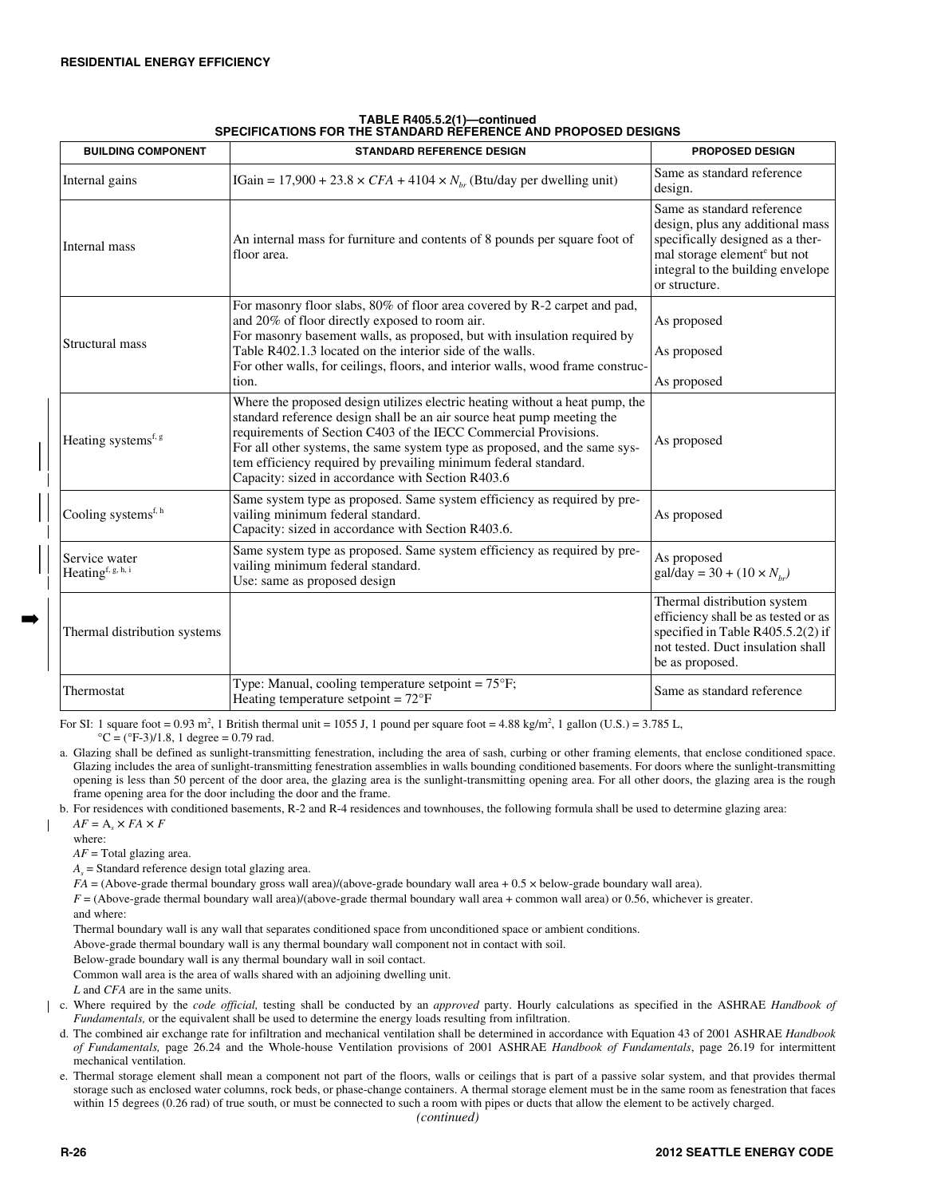| <b>BUILDING COMPONENT</b>                      | <b>STANDARD REFERENCE DESIGN</b>                                                                                                                                                                                                                                                                                                                                                                                                | <b>PROPOSED DESIGN</b>                                                                                                                                                                               |
|------------------------------------------------|---------------------------------------------------------------------------------------------------------------------------------------------------------------------------------------------------------------------------------------------------------------------------------------------------------------------------------------------------------------------------------------------------------------------------------|------------------------------------------------------------------------------------------------------------------------------------------------------------------------------------------------------|
| Internal gains                                 | IGain = 17,900 + 23.8 $\times$ CFA + 4104 $\times N_{hr}$ (Btu/day per dwelling unit)                                                                                                                                                                                                                                                                                                                                           | Same as standard reference<br>design.                                                                                                                                                                |
| Internal mass                                  | An internal mass for furniture and contents of 8 pounds per square foot of<br>floor area.                                                                                                                                                                                                                                                                                                                                       | Same as standard reference<br>design, plus any additional mass<br>specifically designed as a ther-<br>mal storage element <sup>e</sup> but not<br>integral to the building envelope<br>or structure. |
| Structural mass                                | For masonry floor slabs, 80% of floor area covered by R-2 carpet and pad,<br>and 20% of floor directly exposed to room air.<br>For masonry basement walls, as proposed, but with insulation required by<br>Table R402.1.3 located on the interior side of the walls.<br>For other walls, for ceilings, floors, and interior walls, wood frame construc-                                                                         | As proposed<br>As proposed                                                                                                                                                                           |
|                                                | tion.                                                                                                                                                                                                                                                                                                                                                                                                                           | As proposed                                                                                                                                                                                          |
| Heating systems <sup>f, g</sup>                | Where the proposed design utilizes electric heating without a heat pump, the<br>standard reference design shall be an air source heat pump meeting the<br>requirements of Section C403 of the IECC Commercial Provisions.<br>For all other systems, the same system type as proposed, and the same sys-<br>tem efficiency required by prevailing minimum federal standard.<br>Capacity: sized in accordance with Section R403.6 | As proposed                                                                                                                                                                                          |
| Cooling systems <sup>f, h</sup>                | Same system type as proposed. Same system efficiency as required by pre-<br>vailing minimum federal standard.<br>Capacity: sized in accordance with Section R403.6.                                                                                                                                                                                                                                                             | As proposed                                                                                                                                                                                          |
| Service water<br>Heating <sup>f, g, h, i</sup> | Same system type as proposed. Same system efficiency as required by pre-<br>vailing minimum federal standard.<br>Use: same as proposed design                                                                                                                                                                                                                                                                                   | As proposed<br>$\text{gal/day} = 30 + (10 \times N_{hr})$                                                                                                                                            |
| Thermal distribution systems                   |                                                                                                                                                                                                                                                                                                                                                                                                                                 | Thermal distribution system<br>efficiency shall be as tested or as<br>specified in Table R405.5.2(2) if<br>not tested. Duct insulation shall<br>be as proposed.                                      |
| Thermostat                                     | Type: Manual, cooling temperature setpoint = $75^{\circ}$ F;<br>Heating temperature setpoint = $72^{\circ}F$                                                                                                                                                                                                                                                                                                                    | Same as standard reference                                                                                                                                                                           |

### **TABLE R405.5.2(1)—continued SPECIFICATIONS FOR THE STANDARD REFERENCE AND PROPOSED DESIGNS**

For SI: 1 square foot =  $0.93$  m<sup>2</sup>, 1 British thermal unit = 1055 J, 1 pound per square foot =  $4.88$  kg/m<sup>2</sup>, 1 gallon (U.S.) =  $3.785$  L,  $^{\circ}$ C = ( $^{\circ}$ F-3)/1.8, 1 degree = 0.79 rad.

a. Glazing shall be defined as sunlight-transmitting fenestration, including the area of sash, curbing or other framing elements, that enclose conditioned space. Glazing includes the area of sunlight-transmitting fenestration assemblies in walls bounding conditioned basements. For doors where the sunlight-transmitting opening is less than 50 percent of the door area, the glazing area is the sunlight-transmitting opening area. For all other doors, the glazing area is the rough frame opening area for the door including the door and the frame.

b. For residences with conditioned basements, R-2 and R-4 residences and townhouses, the following formula shall be used to determine glazing area:

 $AF = A<sub>s</sub> \times FA \times F$ 

where:

I

➡

*AF* = Total glazing area.

 $A<sub>s</sub>$  = Standard reference design total glazing area.

*FA* = (Above-grade thermal boundary gross wall area)/(above-grade boundary wall area + 0.5 × below-grade boundary wall area).

*F* = (Above-grade thermal boundary wall area)/(above-grade thermal boundary wall area + common wall area) or 0.56, whichever is greater.

and where:

Thermal boundary wall is any wall that separates conditioned space from unconditioned space or ambient conditions.

Above-grade thermal boundary wall is any thermal boundary wall component not in contact with soil.

Below-grade boundary wall is any thermal boundary wall in soil contact.

Common wall area is the area of walls shared with an adjoining dwelling unit.

*L* and *CFA* are in the same units.

c. Where required by the *code official,* testing shall be conducted by an *approved* party. Hourly calculations as specified in the ASHRAE *Handbook of Fundamentals,* or the equivalent shall be used to determine the energy loads resulting from infiltration.

d. The combined air exchange rate for infiltration and mechanical ventilation shall be determined in accordance with Equation 43 of 2001 ASHRAE *Handbook of Fundamentals,* page 26.24 and the Whole-house Ventilation provisions of 2001 ASHRAE *Handbook of Fundamentals*, page 26.19 for intermittent mechanical ventilation.

e. Thermal storage element shall mean a component not part of the floors, walls or ceilings that is part of a passive solar system, and that provides thermal storage such as enclosed water columns, rock beds, or phase-change containers. A thermal storage element must be in the same room as fenestration that faces within 15 degrees (0.26 rad) of true south, or must be connected to such a room with pipes or ducts that allow the element to be actively charged.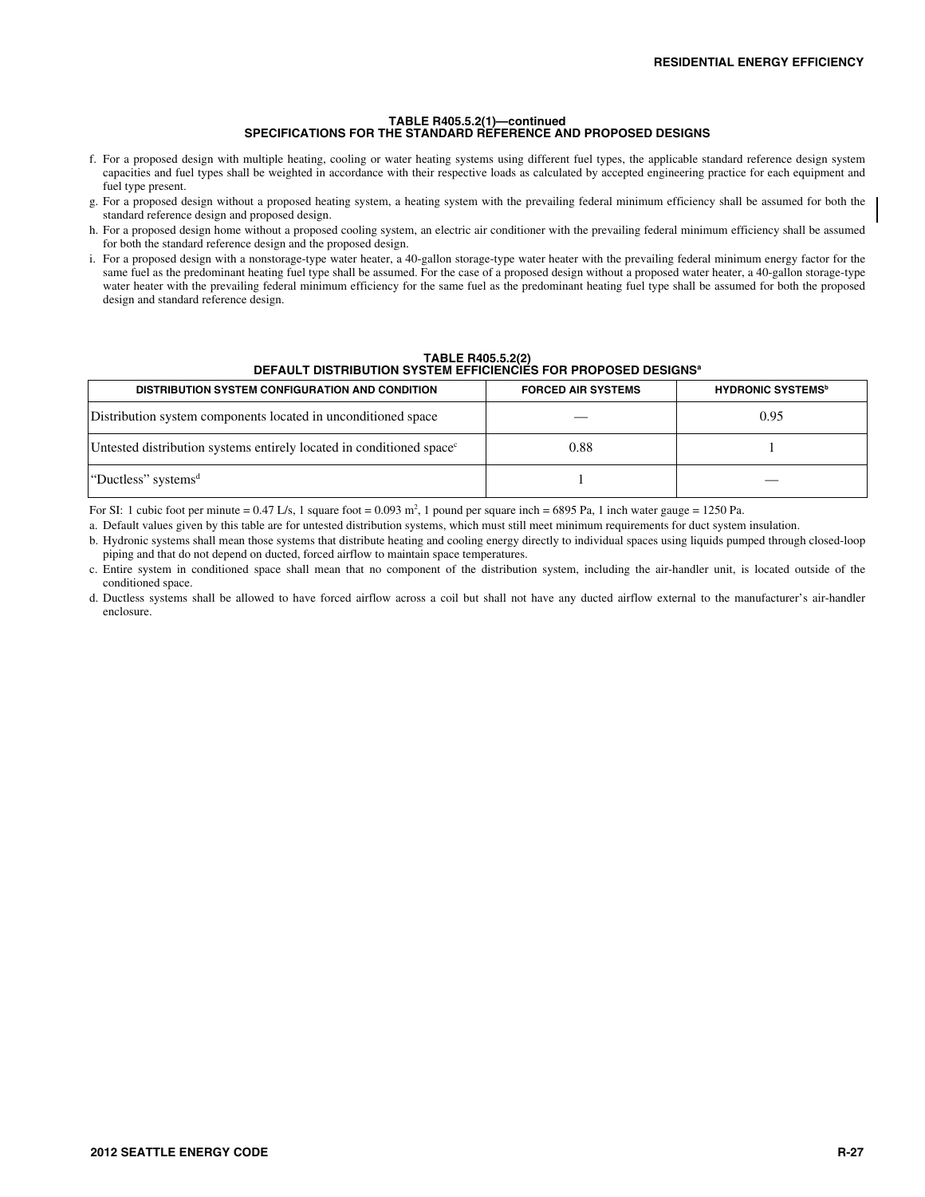# **TABLE R405.5.2(1)—continued SPECIFICATIONS FOR THE STANDARD REFERENCE AND PROPOSED DESIGNS**

- f. For a proposed design with multiple heating, cooling or water heating systems using different fuel types, the applicable standard reference design system capacities and fuel types shall be weighted in accordance with their respective loads as calculated by accepted engineering practice for each equipment and fuel type present.
- g. For a proposed design without a proposed heating system, a heating system with the prevailing federal minimum efficiency shall be assumed for both the standard reference design and proposed design.
- h. For a proposed design home without a proposed cooling system, an electric air conditioner with the prevailing federal minimum efficiency shall be assumed for both the standard reference design and the proposed design.
- i. For a proposed design with a nonstorage-type water heater, a 40-gallon storage-type water heater with the prevailing federal minimum energy factor for the same fuel as the predominant heating fuel type shall be assumed. For the case of a proposed design without a proposed water heater, a 40-gallon storage-type water heater with the prevailing federal minimum efficiency for the same fuel as the predominant heating fuel type shall be assumed for both the proposed design and standard reference design.

**TABLE R405.5.2(2) DEFAULT DISTRIBUTION SYSTEM EFFICIENCIES FOR PROPOSED DESIGNSa**

| " או אושם שםטט וטון דווט דישםוטונוים ווים ווים וטון טון ווים ושירו טון דוויסוס   |                           |                                      |  |
|----------------------------------------------------------------------------------|---------------------------|--------------------------------------|--|
| <b>DISTRIBUTION SYSTEM CONFIGURATION AND CONDITION</b>                           | <b>FORCED AIR SYSTEMS</b> | <b>HYDRONIC SYSTEMS</b> <sup>b</sup> |  |
| Distribution system components located in unconditioned space                    |                           | 0.95                                 |  |
| Untested distribution systems entirely located in conditioned space <sup>c</sup> | 0.88                      |                                      |  |
| "Ductless" systems"                                                              |                           |                                      |  |

For SI: 1 cubic foot per minute =  $0.47$  L/s, 1 square foot =  $0.093$  m<sup>2</sup>, 1 pound per square inch = 6895 Pa, 1 inch water gauge = 1250 Pa.

a. Default values given by this table are for untested distribution systems, which must still meet minimum requirements for duct system insulation.

- b. Hydronic systems shall mean those systems that distribute heating and cooling energy directly to individual spaces using liquids pumped through closed-loop piping and that do not depend on ducted, forced airflow to maintain space temperatures.
- c. Entire system in conditioned space shall mean that no component of the distribution system, including the air-handler unit, is located outside of the conditioned space.
- d. Ductless systems shall be allowed to have forced airflow across a coil but shall not have any ducted airflow external to the manufacturer's air-handler enclosure.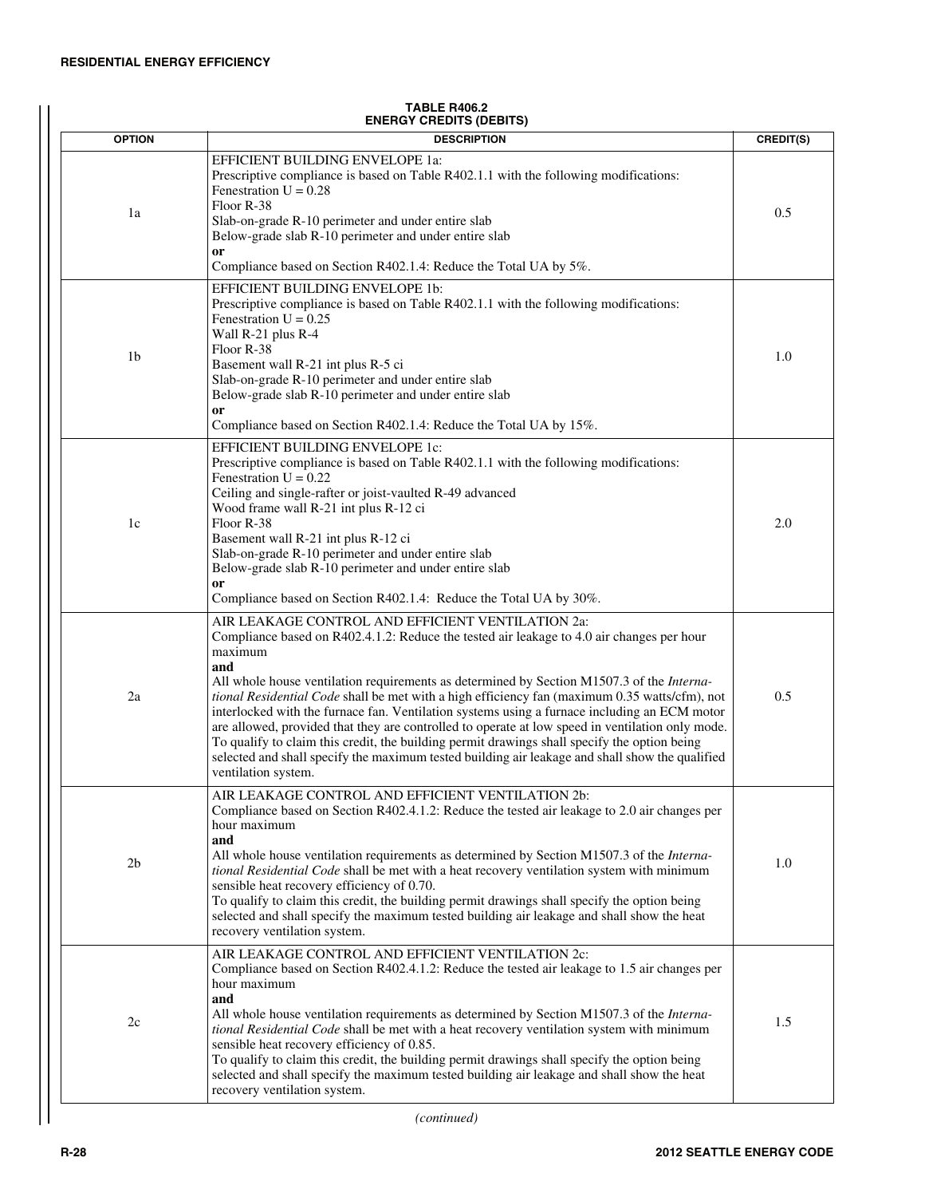| <b>OPTION</b> | <b>DESCRIPTION</b>                                                                                                                                                                                                                                                                                                                                                                                                                                                                                                                                                                                                                                                                                                                                                                                   | CREDIT(S) |
|---------------|------------------------------------------------------------------------------------------------------------------------------------------------------------------------------------------------------------------------------------------------------------------------------------------------------------------------------------------------------------------------------------------------------------------------------------------------------------------------------------------------------------------------------------------------------------------------------------------------------------------------------------------------------------------------------------------------------------------------------------------------------------------------------------------------------|-----------|
| 1a            | EFFICIENT BUILDING ENVELOPE 1a:<br>Prescriptive compliance is based on Table R402.1.1 with the following modifications:<br>Fenestration $U = 0.28$<br>Floor R-38<br>Slab-on-grade R-10 perimeter and under entire slab<br>Below-grade slab R-10 perimeter and under entire slab<br>or<br>Compliance based on Section R402.1.4: Reduce the Total UA by 5%.                                                                                                                                                                                                                                                                                                                                                                                                                                            | 0.5       |
| 1b            | EFFICIENT BUILDING ENVELOPE 1b:<br>Prescriptive compliance is based on Table R402.1.1 with the following modifications:<br>Fenestration $U = 0.25$<br>Wall R-21 plus R-4<br>Floor R-38<br>Basement wall R-21 int plus R-5 ci<br>Slab-on-grade R-10 perimeter and under entire slab<br>Below-grade slab R-10 perimeter and under entire slab<br>or<br>Compliance based on Section R402.1.4: Reduce the Total UA by 15%.                                                                                                                                                                                                                                                                                                                                                                               | 1.0       |
| 1c            | EFFICIENT BUILDING ENVELOPE 1c:<br>Prescriptive compliance is based on Table R402.1.1 with the following modifications:<br>Fenestration $U = 0.22$<br>Ceiling and single-rafter or joist-vaulted R-49 advanced<br>Wood frame wall R-21 int plus R-12 ci<br>Floor R-38<br>Basement wall R-21 int plus R-12 ci<br>Slab-on-grade R-10 perimeter and under entire slab<br>Below-grade slab R-10 perimeter and under entire slab<br><sub>or</sub><br>Compliance based on Section R402.1.4: Reduce the Total UA by 30%.                                                                                                                                                                                                                                                                                    | 2.0       |
| 2a            | AIR LEAKAGE CONTROL AND EFFICIENT VENTILATION 2a:<br>Compliance based on R402.4.1.2: Reduce the tested air leakage to 4.0 air changes per hour<br>maximum<br>and<br>All whole house ventilation requirements as determined by Section M1507.3 of the <i>Interna</i> -<br>tional Residential Code shall be met with a high efficiency fan (maximum 0.35 watts/cfm), not<br>interlocked with the furnace fan. Ventilation systems using a furnace including an ECM motor<br>are allowed, provided that they are controlled to operate at low speed in ventilation only mode.<br>To qualify to claim this credit, the building permit drawings shall specify the option being<br>selected and shall specify the maximum tested building air leakage and shall show the qualified<br>ventilation system. | 0.5       |
| 2b            | AIR LEAKAGE CONTROL AND EFFICIENT VENTILATION 2b:<br>Compliance based on Section R402.4.1.2: Reduce the tested air leakage to 2.0 air changes per<br>hour maximum<br>and<br>All whole house ventilation requirements as determined by Section M1507.3 of the <i>Interna</i> -<br>tional Residential Code shall be met with a heat recovery ventilation system with minimum<br>sensible heat recovery efficiency of 0.70.<br>To qualify to claim this credit, the building permit drawings shall specify the option being<br>selected and shall specify the maximum tested building air leakage and shall show the heat<br>recovery ventilation system.                                                                                                                                               | 1.0       |
| 2c            | AIR LEAKAGE CONTROL AND EFFICIENT VENTILATION 2c:<br>Compliance based on Section R402.4.1.2: Reduce the tested air leakage to 1.5 air changes per<br>hour maximum<br>and<br>All whole house ventilation requirements as determined by Section M1507.3 of the <i>Interna</i> -<br>tional Residential Code shall be met with a heat recovery ventilation system with minimum<br>sensible heat recovery efficiency of 0.85.<br>To qualify to claim this credit, the building permit drawings shall specify the option being<br>selected and shall specify the maximum tested building air leakage and shall show the heat<br>recovery ventilation system.                                                                                                                                               | 1.5       |

#### **TABLE R406.2 ENERGY CREDITS (DEBITS)**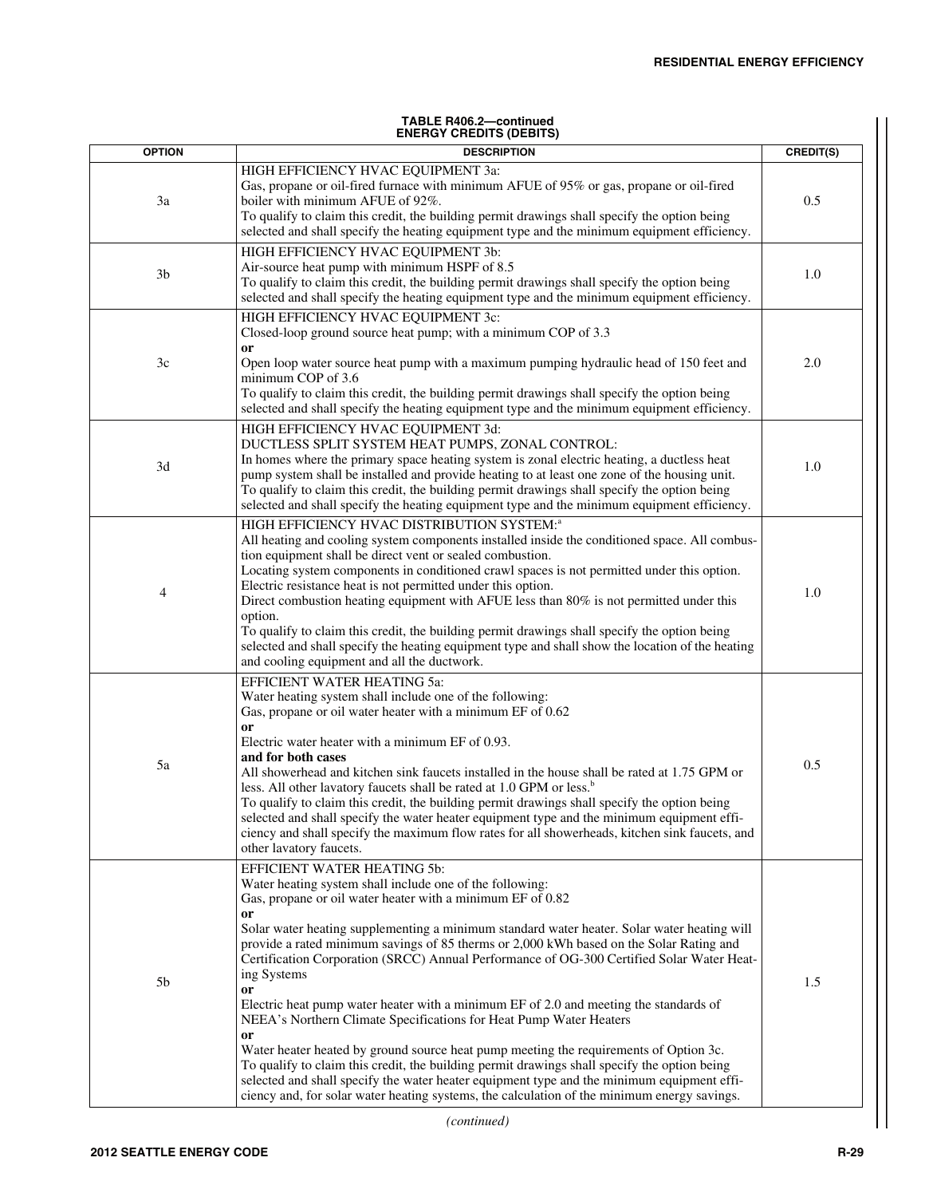#### **TABLE R406.2—continued ENERGY CREDITS (DEBITS)**

| <b>OPTION</b>  | <b>DESCRIPTION</b>                                                                                                                                                                                                                                                                                                                                                                                                                                                                                                                                                                                                                                                                                                                                                                                                                                                                                                                                                                                                                 | CREDIT(S) |
|----------------|------------------------------------------------------------------------------------------------------------------------------------------------------------------------------------------------------------------------------------------------------------------------------------------------------------------------------------------------------------------------------------------------------------------------------------------------------------------------------------------------------------------------------------------------------------------------------------------------------------------------------------------------------------------------------------------------------------------------------------------------------------------------------------------------------------------------------------------------------------------------------------------------------------------------------------------------------------------------------------------------------------------------------------|-----------|
| 3a             | HIGH EFFICIENCY HVAC EQUIPMENT 3a:<br>Gas, propane or oil-fired furnace with minimum AFUE of 95% or gas, propane or oil-fired<br>boiler with minimum AFUE of 92%.<br>To qualify to claim this credit, the building permit drawings shall specify the option being<br>selected and shall specify the heating equipment type and the minimum equipment efficiency.                                                                                                                                                                                                                                                                                                                                                                                                                                                                                                                                                                                                                                                                   | 0.5       |
| 3 <sub>b</sub> | HIGH EFFICIENCY HVAC EQUIPMENT 3b:<br>Air-source heat pump with minimum HSPF of 8.5<br>To qualify to claim this credit, the building permit drawings shall specify the option being<br>selected and shall specify the heating equipment type and the minimum equipment efficiency.                                                                                                                                                                                                                                                                                                                                                                                                                                                                                                                                                                                                                                                                                                                                                 | 1.0       |
| 3c             | HIGH EFFICIENCY HVAC EQUIPMENT 3c:<br>Closed-loop ground source heat pump; with a minimum COP of 3.3<br>or<br>Open loop water source heat pump with a maximum pumping hydraulic head of 150 feet and<br>minimum COP of 3.6<br>To qualify to claim this credit, the building permit drawings shall specify the option being<br>selected and shall specify the heating equipment type and the minimum equipment efficiency.                                                                                                                                                                                                                                                                                                                                                                                                                                                                                                                                                                                                          | 2.0       |
| 3d             | HIGH EFFICIENCY HVAC EQUIPMENT 3d:<br>DUCTLESS SPLIT SYSTEM HEAT PUMPS, ZONAL CONTROL:<br>In homes where the primary space heating system is zonal electric heating, a ductless heat<br>pump system shall be installed and provide heating to at least one zone of the housing unit.<br>To qualify to claim this credit, the building permit drawings shall specify the option being<br>selected and shall specify the heating equipment type and the minimum equipment efficiency.                                                                                                                                                                                                                                                                                                                                                                                                                                                                                                                                                | 1.0       |
| 4              | HIGH EFFICIENCY HVAC DISTRIBUTION SYSTEM: <sup>a</sup><br>All heating and cooling system components installed inside the conditioned space. All combus-<br>tion equipment shall be direct vent or sealed combustion.<br>Locating system components in conditioned crawl spaces is not permitted under this option.<br>Electric resistance heat is not permitted under this option.<br>Direct combustion heating equipment with AFUE less than $80\%$ is not permitted under this<br>option.<br>To qualify to claim this credit, the building permit drawings shall specify the option being<br>selected and shall specify the heating equipment type and shall show the location of the heating<br>and cooling equipment and all the ductwork.                                                                                                                                                                                                                                                                                     | 1.0       |
| 5a             | EFFICIENT WATER HEATING 5a:<br>Water heating system shall include one of the following:<br>Gas, propane or oil water heater with a minimum EF of 0.62<br>or<br>Electric water heater with a minimum EF of 0.93.<br>and for both cases<br>All showerhead and kitchen sink faucets installed in the house shall be rated at 1.75 GPM or<br>less. All other lavatory faucets shall be rated at 1.0 GPM or less. <sup>b</sup><br>To qualify to claim this credit, the building permit drawings shall specify the option being<br>selected and shall specify the water heater equipment type and the minimum equipment effi-<br>ciency and shall specify the maximum flow rates for all showerheads, kitchen sink faucets, and<br>other lavatory faucets.                                                                                                                                                                                                                                                                               | 0.5       |
| 5b             | EFFICIENT WATER HEATING 5b:<br>Water heating system shall include one of the following:<br>Gas, propane or oil water heater with a minimum EF of 0.82<br>or<br>Solar water heating supplementing a minimum standard water heater. Solar water heating will<br>provide a rated minimum savings of 85 therms or 2,000 kWh based on the Solar Rating and<br>Certification Corporation (SRCC) Annual Performance of OG-300 Certified Solar Water Heat-<br>ing Systems<br>or<br>Electric heat pump water heater with a minimum EF of 2.0 and meeting the standards of<br>NEEA's Northern Climate Specifications for Heat Pump Water Heaters<br>or<br>Water heater heated by ground source heat pump meeting the requirements of Option 3c.<br>To qualify to claim this credit, the building permit drawings shall specify the option being<br>selected and shall specify the water heater equipment type and the minimum equipment effi-<br>ciency and, for solar water heating systems, the calculation of the minimum energy savings. | 1.5       |